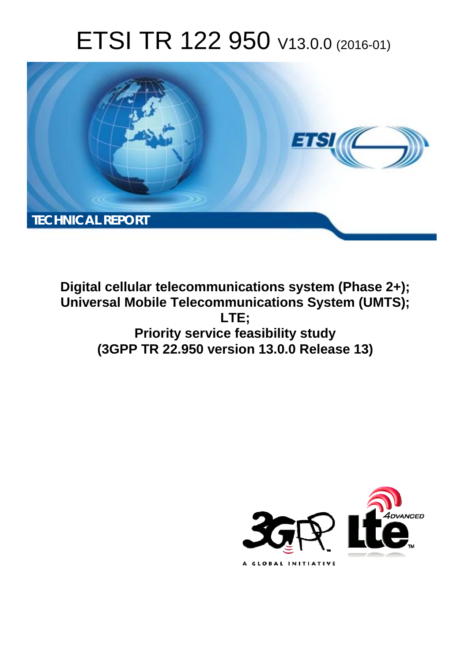# ETSI TR 122 950 V13.0.0 (2016-01)



**Digital cellular telecommunications system (Phase 2+); Universal Mobile Telecommunications System (UMTS); LTE; Priority service feasibility study (3GPP TR 22.950 version 13.0.0 Release 13)** 

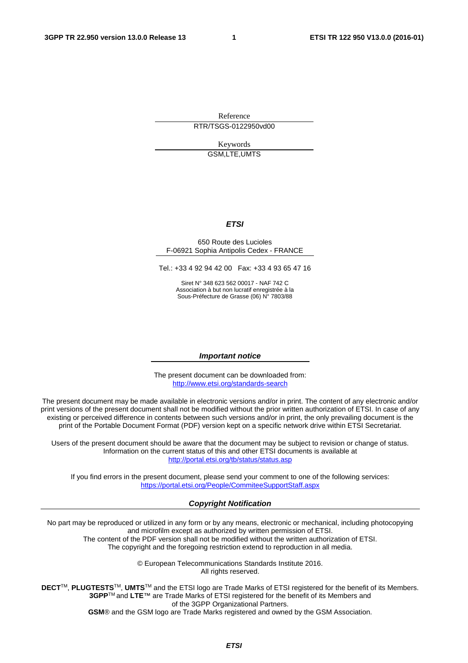Reference RTR/TSGS-0122950vd00

> Keywords GSM,LTE,UMTS

#### *ETSI*

#### 650 Route des Lucioles F-06921 Sophia Antipolis Cedex - FRANCE

Tel.: +33 4 92 94 42 00 Fax: +33 4 93 65 47 16

Siret N° 348 623 562 00017 - NAF 742 C Association à but non lucratif enregistrée à la Sous-Préfecture de Grasse (06) N° 7803/88

#### *Important notice*

The present document can be downloaded from: <http://www.etsi.org/standards-search>

The present document may be made available in electronic versions and/or in print. The content of any electronic and/or print versions of the present document shall not be modified without the prior written authorization of ETSI. In case of any existing or perceived difference in contents between such versions and/or in print, the only prevailing document is the print of the Portable Document Format (PDF) version kept on a specific network drive within ETSI Secretariat.

Users of the present document should be aware that the document may be subject to revision or change of status. Information on the current status of this and other ETSI documents is available at <http://portal.etsi.org/tb/status/status.asp>

If you find errors in the present document, please send your comment to one of the following services: <https://portal.etsi.org/People/CommiteeSupportStaff.aspx>

#### *Copyright Notification*

No part may be reproduced or utilized in any form or by any means, electronic or mechanical, including photocopying and microfilm except as authorized by written permission of ETSI.

The content of the PDF version shall not be modified without the written authorization of ETSI. The copyright and the foregoing restriction extend to reproduction in all media.

> © European Telecommunications Standards Institute 2016. All rights reserved.

**DECT**TM, **PLUGTESTS**TM, **UMTS**TM and the ETSI logo are Trade Marks of ETSI registered for the benefit of its Members. **3GPP**TM and **LTE**™ are Trade Marks of ETSI registered for the benefit of its Members and of the 3GPP Organizational Partners.

**GSM**® and the GSM logo are Trade Marks registered and owned by the GSM Association.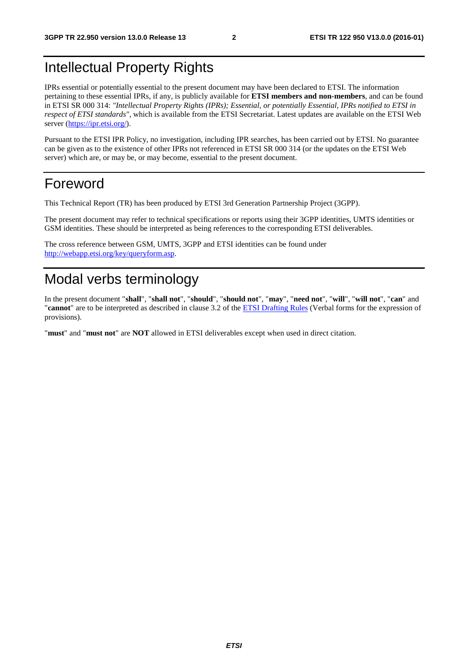## Intellectual Property Rights

IPRs essential or potentially essential to the present document may have been declared to ETSI. The information pertaining to these essential IPRs, if any, is publicly available for **ETSI members and non-members**, and can be found in ETSI SR 000 314: *"Intellectual Property Rights (IPRs); Essential, or potentially Essential, IPRs notified to ETSI in respect of ETSI standards"*, which is available from the ETSI Secretariat. Latest updates are available on the ETSI Web server [\(https://ipr.etsi.org/](https://ipr.etsi.org/)).

Pursuant to the ETSI IPR Policy, no investigation, including IPR searches, has been carried out by ETSI. No guarantee can be given as to the existence of other IPRs not referenced in ETSI SR 000 314 (or the updates on the ETSI Web server) which are, or may be, or may become, essential to the present document.

### Foreword

This Technical Report (TR) has been produced by ETSI 3rd Generation Partnership Project (3GPP).

The present document may refer to technical specifications or reports using their 3GPP identities, UMTS identities or GSM identities. These should be interpreted as being references to the corresponding ETSI deliverables.

The cross reference between GSM, UMTS, 3GPP and ETSI identities can be found under [http://webapp.etsi.org/key/queryform.asp.](http://webapp.etsi.org/key/queryform.asp)

## Modal verbs terminology

In the present document "**shall**", "**shall not**", "**should**", "**should not**", "**may**", "**need not**", "**will**", "**will not**", "**can**" and "**cannot**" are to be interpreted as described in clause 3.2 of the [ETSI Drafting Rules](http://portal.etsi.org/Help/editHelp!/Howtostart/ETSIDraftingRules.aspx) (Verbal forms for the expression of provisions).

"**must**" and "**must not**" are **NOT** allowed in ETSI deliverables except when used in direct citation.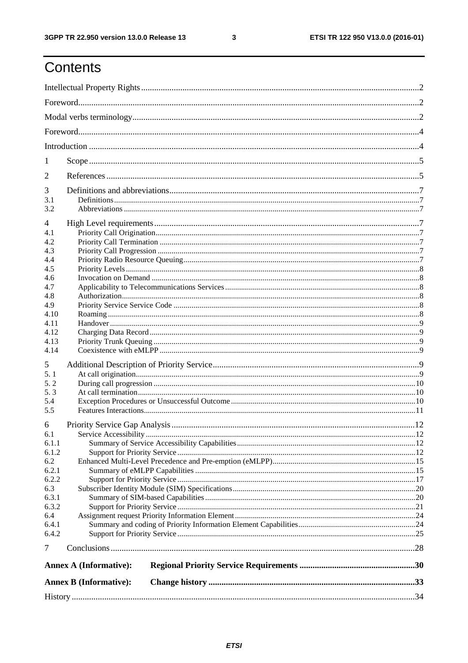$\mathbf{3}$ 

## Contents

| 1            |                               |  |
|--------------|-------------------------------|--|
| 2            |                               |  |
| 3            |                               |  |
| 3.1          |                               |  |
| 3.2          |                               |  |
| 4            |                               |  |
| 4.1          |                               |  |
| 4.2          |                               |  |
| 4.3          |                               |  |
| 4.4          |                               |  |
| 4.5          |                               |  |
| 4.6          |                               |  |
| 4.7          |                               |  |
| 4.8<br>4.9   |                               |  |
| 4.10         |                               |  |
| 4.11         |                               |  |
| 4.12         |                               |  |
| 4.13         |                               |  |
| 4.14         |                               |  |
| 5            |                               |  |
| 5.1          |                               |  |
| 5.2          |                               |  |
| 5.3          |                               |  |
| 5.4          |                               |  |
| 5.5          |                               |  |
| 6            |                               |  |
| 6.1          |                               |  |
| 6.1.1        |                               |  |
| 6.1.2        |                               |  |
| 6.2          |                               |  |
| 6.2.1        |                               |  |
| 6.2.2        |                               |  |
| 6.3          |                               |  |
| 6.3.1        |                               |  |
| 6.3.2        |                               |  |
| 6.4<br>6.4.1 |                               |  |
| 6.4.2        |                               |  |
| $\tau$       |                               |  |
|              |                               |  |
|              | <b>Annex A (Informative):</b> |  |
|              | <b>Annex B (Informative):</b> |  |
|              |                               |  |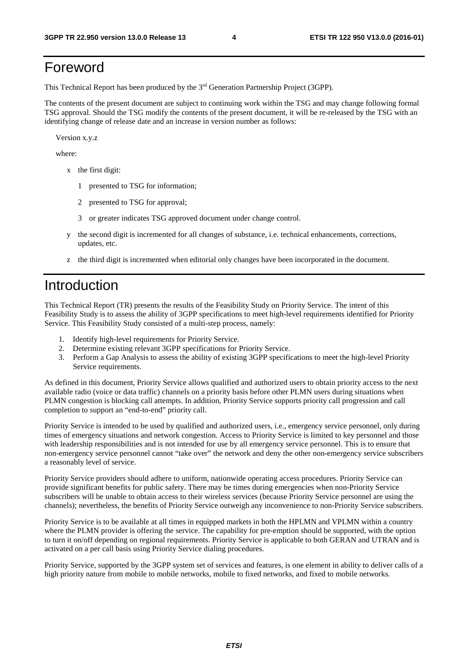## Foreword

This Technical Report has been produced by the 3rd Generation Partnership Project (3GPP).

The contents of the present document are subject to continuing work within the TSG and may change following formal TSG approval. Should the TSG modify the contents of the present document, it will be re-released by the TSG with an identifying change of release date and an increase in version number as follows:

Version x.y.z

where:

- x the first digit:
	- 1 presented to TSG for information;
	- 2 presented to TSG for approval;
	- 3 or greater indicates TSG approved document under change control.
- y the second digit is incremented for all changes of substance, i.e. technical enhancements, corrections, updates, etc.
- z the third digit is incremented when editorial only changes have been incorporated in the document.

### Introduction

This Technical Report (TR) presents the results of the Feasibility Study on Priority Service. The intent of this Feasibility Study is to assess the ability of 3GPP specifications to meet high-level requirements identified for Priority Service. This Feasibility Study consisted of a multi-step process, namely:

- 1. Identify high-level requirements for Priority Service.
- 2. Determine existing relevant 3GPP specifications for Priority Service.
- 3. Perform a Gap Analysis to assess the ability of existing 3GPP specifications to meet the high-level Priority Service requirements.

As defined in this document, Priority Service allows qualified and authorized users to obtain priority access to the next available radio (voice or data traffic) channels on a priority basis before other PLMN users during situations when PLMN congestion is blocking call attempts. In addition, Priority Service supports priority call progression and call completion to support an "end-to-end" priority call.

Priority Service is intended to be used by qualified and authorized users, i.e., emergency service personnel, only during times of emergency situations and network congestion. Access to Priority Service is limited to key personnel and those with leadership responsibilities and is not intended for use by all emergency service personnel. This is to ensure that non-emergency service personnel cannot "take over" the network and deny the other non-emergency service subscribers a reasonably level of service.

Priority Service providers should adhere to uniform, nationwide operating access procedures. Priority Service can provide significant benefits for public safety. There may be times during emergencies when non-Priority Service subscribers will be unable to obtain access to their wireless services (because Priority Service personnel are using the channels); nevertheless, the benefits of Priority Service outweigh any inconvenience to non-Priority Service subscribers.

Priority Service is to be available at all times in equipped markets in both the HPLMN and VPLMN within a country where the PLMN provider is offering the service. The capability for pre-emption should be supported, with the option to turn it on/off depending on regional requirements. Priority Service is applicable to both GERAN and UTRAN and is activated on a per call basis using Priority Service dialing procedures.

Priority Service, supported by the 3GPP system set of services and features, is one element in ability to deliver calls of a high priority nature from mobile to mobile networks, mobile to fixed networks, and fixed to mobile networks.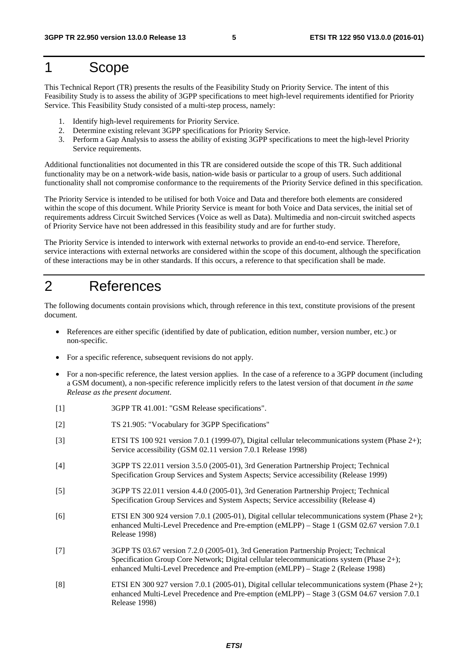### 1 Scope

This Technical Report (TR) presents the results of the Feasibility Study on Priority Service. The intent of this Feasibility Study is to assess the ability of 3GPP specifications to meet high-level requirements identified for Priority Service. This Feasibility Study consisted of a multi-step process, namely:

- 1. Identify high-level requirements for Priority Service.
- 2. Determine existing relevant 3GPP specifications for Priority Service.
- 3. Perform a Gap Analysis to assess the ability of existing 3GPP specifications to meet the high-level Priority Service requirements.

Additional functionalities not documented in this TR are considered outside the scope of this TR. Such additional functionality may be on a network-wide basis, nation-wide basis or particular to a group of users. Such additional functionality shall not compromise conformance to the requirements of the Priority Service defined in this specification.

The Priority Service is intended to be utilised for both Voice and Data and therefore both elements are considered within the scope of this document. While Priority Service is meant for both Voice and Data services, the initial set of requirements address Circuit Switched Services (Voice as well as Data). Multimedia and non-circuit switched aspects of Priority Service have not been addressed in this feasibility study and are for further study.

The Priority Service is intended to interwork with external networks to provide an end-to-end service. Therefore, service interactions with external networks are considered within the scope of this document, although the specification of these interactions may be in other standards. If this occurs, a reference to that specification shall be made.

### 2 References

The following documents contain provisions which, through reference in this text, constitute provisions of the present document.

- References are either specific (identified by date of publication, edition number, version number, etc.) or non-specific.
- For a specific reference, subsequent revisions do not apply.
- For a non-specific reference, the latest version applies. In the case of a reference to a 3GPP document (including a GSM document), a non-specific reference implicitly refers to the latest version of that document *in the same Release as the present document*.
- [1] 3GPP TR 41.001: "GSM Release specifications".
- [2] TS 21.905: "Vocabulary for 3GPP Specifications"
- [3] ETSI TS 100 921 version 7.0.1 (1999-07), Digital cellular telecommunications system (Phase 2+); Service accessibility (GSM 02.11 version 7.0.1 Release 1998)
- [4] 3GPP TS 22.011 version 3.5.0 (2005-01), 3rd Generation Partnership Project; Technical Specification Group Services and System Aspects; Service accessibility (Release 1999)
- [5] 3GPP TS 22.011 version 4.4.0 (2005-01), 3rd Generation Partnership Project; Technical Specification Group Services and System Aspects; Service accessibility (Release 4)
- [6] ETSI EN 300 924 version 7.0.1 (2005-01), Digital cellular telecommunications system (Phase 2+); enhanced Multi-Level Precedence and Pre-emption (eMLPP) – Stage 1 (GSM 02.67 version 7.0.1 Release 1998)
- [7] 3GPP TS 03.67 version 7.2.0 (2005-01), 3rd Generation Partnership Project; Technical Specification Group Core Network; Digital cellular telecommunications system (Phase 2+); enhanced Multi-Level Precedence and Pre-emption (eMLPP) – Stage 2 (Release 1998)
- [8] ETSI EN 300 927 version 7.0.1 (2005-01), Digital cellular telecommunications system (Phase 2+); enhanced Multi-Level Precedence and Pre-emption (eMLPP) – Stage 3 (GSM 04.67 version 7.0.1 Release 1998)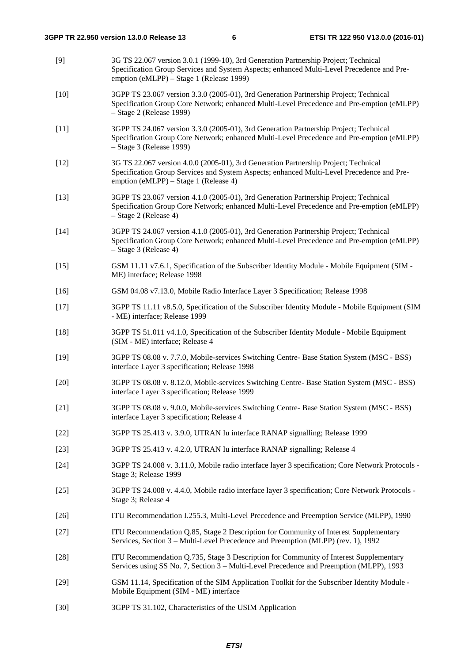| [9]    | 3G TS 22.067 version 3.0.1 (1999-10), 3rd Generation Partnership Project; Technical<br>Specification Group Services and System Aspects; enhanced Multi-Level Precedence and Pre-<br>emption (eMLPP) - Stage 1 (Release 1999) |
|--------|------------------------------------------------------------------------------------------------------------------------------------------------------------------------------------------------------------------------------|
| $[10]$ | 3GPP TS 23.067 version 3.3.0 (2005-01), 3rd Generation Partnership Project; Technical<br>Specification Group Core Network; enhanced Multi-Level Precedence and Pre-emption (eMLPP)<br>- Stage 2 (Release 1999)               |
| $[11]$ | 3GPP TS 24.067 version 3.3.0 (2005-01), 3rd Generation Partnership Project; Technical<br>Specification Group Core Network; enhanced Multi-Level Precedence and Pre-emption (eMLPP)<br>$-$ Stage 3 (Release 1999)             |
| $[12]$ | 3G TS 22.067 version 4.0.0 (2005-01), 3rd Generation Partnership Project; Technical<br>Specification Group Services and System Aspects; enhanced Multi-Level Precedence and Pre-<br>emption (eMLPP) – Stage 1 (Release 4)    |
| $[13]$ | 3GPP TS 23.067 version 4.1.0 (2005-01), 3rd Generation Partnership Project; Technical<br>Specification Group Core Network; enhanced Multi-Level Precedence and Pre-emption (eMLPP)<br>- Stage 2 (Release 4)                  |
| $[14]$ | 3GPP TS 24.067 version 4.1.0 (2005-01), 3rd Generation Partnership Project; Technical<br>Specification Group Core Network; enhanced Multi-Level Precedence and Pre-emption (eMLPP)<br>- Stage 3 (Release 4)                  |
| $[15]$ | GSM 11.11 v7.6.1, Specification of the Subscriber Identity Module - Mobile Equipment (SIM -<br>ME) interface; Release 1998                                                                                                   |
| $[16]$ | GSM 04.08 v7.13.0, Mobile Radio Interface Layer 3 Specification; Release 1998                                                                                                                                                |
| $[17]$ | 3GPP TS 11.11 v8.5.0, Specification of the Subscriber Identity Module - Mobile Equipment (SIM<br>- ME) interface; Release 1999                                                                                               |
| $[18]$ | 3GPP TS 51.011 v4.1.0, Specification of the Subscriber Identity Module - Mobile Equipment<br>(SIM - ME) interface; Release 4                                                                                                 |
| $[19]$ | 3GPP TS 08.08 v. 7.7.0, Mobile-services Switching Centre- Base Station System (MSC - BSS)<br>interface Layer 3 specification; Release 1998                                                                                   |
| $[20]$ | 3GPP TS 08.08 v. 8.12.0, Mobile-services Switching Centre- Base Station System (MSC - BSS)<br>interface Layer 3 specification; Release 1999                                                                                  |
| $[21]$ | 3GPP TS 08.08 v. 9.0.0, Mobile-services Switching Centre- Base Station System (MSC - BSS)<br>interface Layer 3 specification; Release 4                                                                                      |
| $[22]$ | 3GPP TS 25.413 v. 3.9.0, UTRAN Iu interface RANAP signalling; Release 1999                                                                                                                                                   |
| $[23]$ | 3GPP TS 25.413 v. 4.2.0, UTRAN Iu interface RANAP signalling; Release 4                                                                                                                                                      |
| $[24]$ | 3GPP TS 24.008 v. 3.11.0, Mobile radio interface layer 3 specification; Core Network Protocols -<br>Stage 3; Release 1999                                                                                                    |
| $[25]$ | 3GPP TS 24.008 v. 4.4.0, Mobile radio interface layer 3 specification; Core Network Protocols -<br>Stage 3; Release 4                                                                                                        |
| $[26]$ | ITU Recommendation I.255.3, Multi-Level Precedence and Preemption Service (MLPP), 1990                                                                                                                                       |
| $[27]$ | ITU Recommendation Q.85, Stage 2 Description for Community of Interest Supplementary<br>Services, Section 3 – Multi-Level Precedence and Preemption (MLPP) (rev. 1), 1992                                                    |
| $[28]$ | ITU Recommendation Q.735, Stage 3 Description for Community of Interest Supplementary<br>Services using SS No. 7, Section 3 – Multi-Level Precedence and Preemption (MLPP), 1993                                             |
| $[29]$ | GSM 11.14, Specification of the SIM Application Toolkit for the Subscriber Identity Module -<br>Mobile Equipment (SIM - ME) interface                                                                                        |
|        |                                                                                                                                                                                                                              |

[30] 3GPP TS 31.102, Characteristics of the USIM Application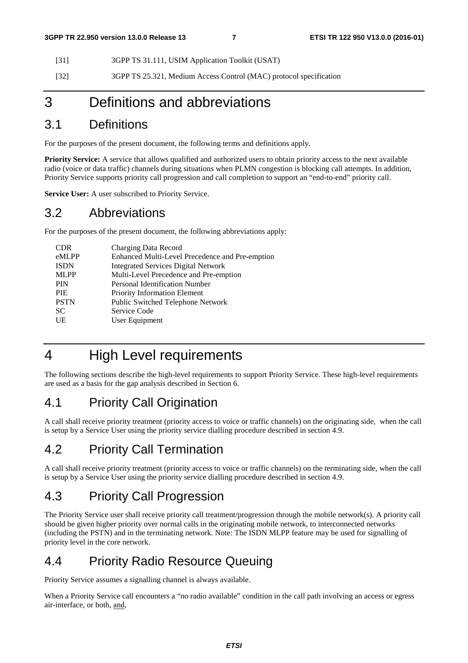[31] 3GPP TS 31.111, USIM Application Toolkit (USAT)

[32] 3GPP TS 25.321, Medium Access Control (MAC) protocol specification

## 3 Definitions and abbreviations

### 3.1 Definitions

For the purposes of the present document, the following terms and definitions apply.

**Priority Service:** A service that allows qualified and authorized users to obtain priority access to the next available radio (voice or data traffic) channels during situations when PLMN congestion is blocking call attempts. In addition, Priority Service supports priority call progression and call completion to support an "end-to-end" priority call.

**Service User:** A user subscribed to Priority Service.

### 3.2 Abbreviations

For the purposes of the present document, the following abbreviations apply:

| <b>CDR</b>  | Charging Data Record                            |
|-------------|-------------------------------------------------|
| eMLPP       | Enhanced Multi-Level Precedence and Pre-emption |
| <b>ISDN</b> | <b>Integrated Services Digital Network</b>      |
| <b>MLPP</b> | Multi-Level Precedence and Pre-emption          |
| <b>PIN</b>  | Personal Identification Number                  |
| <b>PIE</b>  | Priority Information Element                    |
| <b>PSTN</b> | Public Switched Telephone Network               |
| <b>SC</b>   | Service Code                                    |
| UE          | User Equipment                                  |
|             |                                                 |

## 4 High Level requirements

The following sections describe the high-level requirements to support Priority Service. These high-level requirements are used as a basis for the gap analysis described in Section 6.

### 4.1 Priority Call Origination

A call shall receive priority treatment (priority access to voice or traffic channels) on the originating side, when the call is setup by a Service User using the priority service dialling procedure described in section 4.9.

## 4.2 Priority Call Termination

A call shall receive priority treatment (priority access to voice or traffic channels) on the terminating side, when the call is setup by a Service User using the priority service dialling procedure described in section 4.9.

### 4.3 Priority Call Progression

The Priority Service user shall receive priority call treatment/progression through the mobile network(s). A priority call should be given higher priority over normal calls in the originating mobile network, to interconnected networks (including the PSTN) and in the terminating network. Note: The ISDN MLPP feature may be used for signalling of priority level in the core network.

### 4.4 Priority Radio Resource Queuing

Priority Service assumes a signalling channel is always available.

When a Priority Service call encounters a "no radio available" condition in the call path involving an access or egress air-interface, or both, and,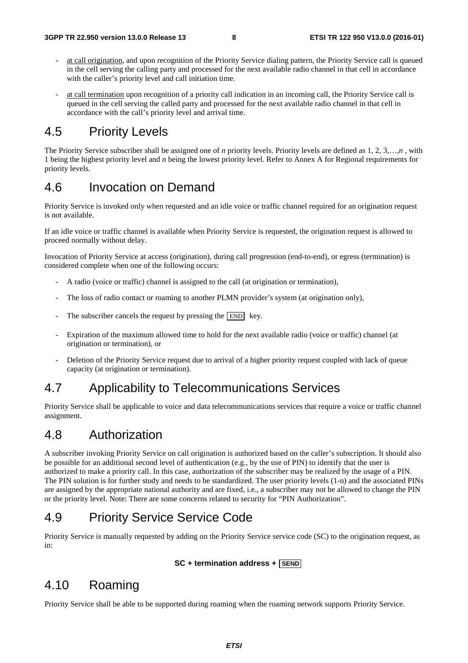- at call origination, and upon recognition of the Priority Service dialing pattern, the Priority Service call is queued in the cell serving the calling party and processed for the next available radio channel in that cell in accordance with the caller's priority level and call initiation time.
- at call termination upon recognition of a priority call indication in an incoming call, the Priority Service call is queued in the cell serving the called party and processed for the next available radio channel in that cell in accordance with the call's priority level and arrival time.

### 4.5 Priority Levels

The Priority Service subscriber shall be assigned one of *n* priority levels. Priority levels are defined as 1, 2, 3,…,*n* , with 1 being the highest priority level and *n* being the lowest priority level. Refer to Annex A for Regional requirements for priority levels.

### 4.6 Invocation on Demand

Priority Service is invoked only when requested and an idle voice or traffic channel required for an origination request is not available.

If an idle voice or traffic channel is available when Priority Service is requested, the origination request is allowed to proceed normally without delay.

Invocation of Priority Service at access (origination), during call progression (end-to-end), or egress (termination) is considered complete when one of the following occurs:

- A radio (voice or traffic) channel is assigned to the call (at origination or termination),
- The loss of radio contact or roaming to another PLMN provider's system (at origination only),
- The subscriber cancels the request by pressing the  $\boxed{\text{END}}$  key.
- Expiration of the maximum allowed time to hold for the next available radio (voice or traffic) channel (at origination or termination), or
- Deletion of the Priority Service request due to arrival of a higher priority request coupled with lack of queue capacity (at origination or termination).

### 4.7 Applicability to Telecommunications Services

Priority Service shall be applicable to voice and data telecommunications services that require a voice or traffic channel assignment.

### 4.8 Authorization

A subscriber invoking Priority Service on call origination is authorized based on the caller's subscription. It should also be possible for an additional second level of authentication (e.g., by the use of PIN) to identify that the user is authorized to make a priority call. In this case, authorization of the subscriber may be realized by the usage of a PIN. The PIN solution is for further study and needs to be standardized. The user priority levels (1-n) and the associated PINs are assigned by the appropriate national authority and are fixed, i.e., a subscriber may not be allowed to change the PIN or the priority level. Note: There are some concerns related to security for "PIN Authorization".

### 4.9 Priority Service Service Code

Priority Service is manually requested by adding on the Priority Service service code (SC) to the origination request, as in:

#### **SC + termination address + SEND**

### 4.10 Roaming

Priority Service shall be able to be supported during roaming when the roaming network supports Priority Service.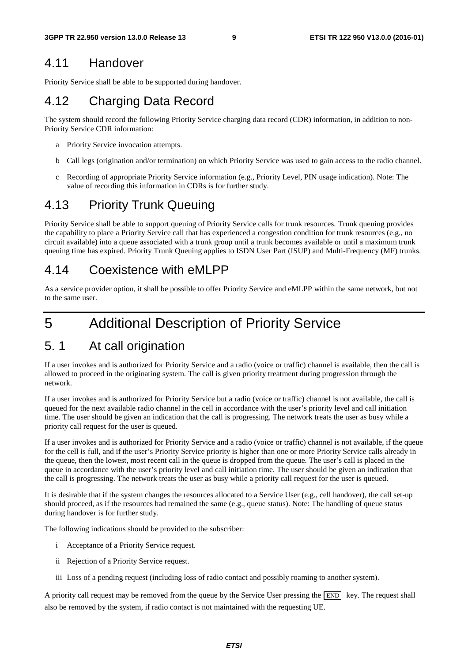### 4.11 Handover

Priority Service shall be able to be supported during handover.

## 4.12 Charging Data Record

The system should record the following Priority Service charging data record (CDR) information, in addition to non-Priority Service CDR information:

- a Priority Service invocation attempts.
- b Call legs (origination and/or termination) on which Priority Service was used to gain access to the radio channel.
- c Recording of appropriate Priority Service information (e.g., Priority Level, PIN usage indication). Note: The value of recording this information in CDRs is for further study.

### 4.13 Priority Trunk Queuing

Priority Service shall be able to support queuing of Priority Service calls for trunk resources. Trunk queuing provides the capability to place a Priority Service call that has experienced a congestion condition for trunk resources (e.g., no circuit available) into a queue associated with a trunk group until a trunk becomes available or until a maximum trunk queuing time has expired. Priority Trunk Queuing applies to ISDN User Part (ISUP) and Multi-Frequency (MF) trunks.

### 4.14 Coexistence with eMLPP

As a service provider option, it shall be possible to offer Priority Service and eMLPP within the same network, but not to the same user.

## 5 Additional Description of Priority Service

## 5. 1 At call origination

If a user invokes and is authorized for Priority Service and a radio (voice or traffic) channel is available, then the call is allowed to proceed in the originating system. The call is given priority treatment during progression through the network.

If a user invokes and is authorized for Priority Service but a radio (voice or traffic) channel is not available, the call is queued for the next available radio channel in the cell in accordance with the user's priority level and call initiation time. The user should be given an indication that the call is progressing. The network treats the user as busy while a priority call request for the user is queued.

If a user invokes and is authorized for Priority Service and a radio (voice or traffic) channel is not available, if the queue for the cell is full, and if the user's Priority Service priority is higher than one or more Priority Service calls already in the queue, then the lowest, most recent call in the queue is dropped from the queue. The user's call is placed in the queue in accordance with the user's priority level and call initiation time. The user should be given an indication that the call is progressing. The network treats the user as busy while a priority call request for the user is queued.

It is desirable that if the system changes the resources allocated to a Service User (e.g., cell handover), the call set-up should proceed, as if the resources had remained the same (e.g., queue status). Note: The handling of queue status during handover is for further study.

The following indications should be provided to the subscriber:

- i Acceptance of a Priority Service request.
- ii Rejection of a Priority Service request.
- iii Loss of a pending request (including loss of radio contact and possibly roaming to another system).

A priority call request may be removed from the queue by the Service User pressing the  $\boxed{\text{END}}\;$  key. The request shall also be removed by the system, if radio contact is not maintained with the requesting UE.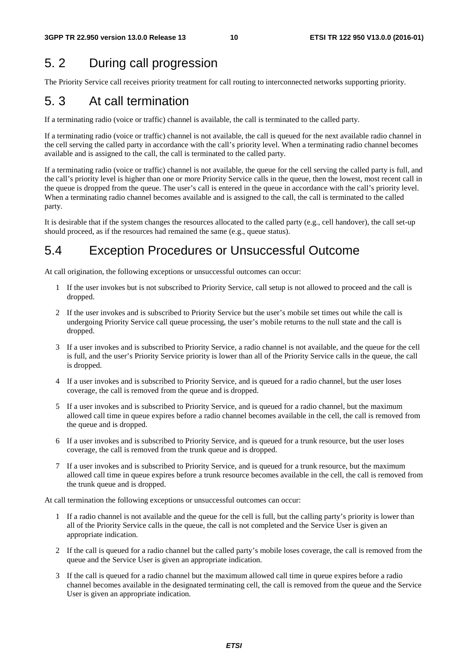## 5. 2 During call progression

The Priority Service call receives priority treatment for call routing to interconnected networks supporting priority.

## 5. 3 At call termination

If a terminating radio (voice or traffic) channel is available, the call is terminated to the called party.

If a terminating radio (voice or traffic) channel is not available, the call is queued for the next available radio channel in the cell serving the called party in accordance with the call's priority level. When a terminating radio channel becomes available and is assigned to the call, the call is terminated to the called party.

If a terminating radio (voice or traffic) channel is not available, the queue for the cell serving the called party is full, and the call's priority level is higher than one or more Priority Service calls in the queue, then the lowest, most recent call in the queue is dropped from the queue. The user's call is entered in the queue in accordance with the call's priority level. When a terminating radio channel becomes available and is assigned to the call, the call is terminated to the called party.

It is desirable that if the system changes the resources allocated to the called party (e.g., cell handover), the call set-up should proceed, as if the resources had remained the same (e.g., queue status).

## 5.4 Exception Procedures or Unsuccessful Outcome

At call origination, the following exceptions or unsuccessful outcomes can occur:

- 1 If the user invokes but is not subscribed to Priority Service, call setup is not allowed to proceed and the call is dropped.
- 2 If the user invokes and is subscribed to Priority Service but the user's mobile set times out while the call is undergoing Priority Service call queue processing, the user's mobile returns to the null state and the call is dropped.
- 3 If a user invokes and is subscribed to Priority Service, a radio channel is not available, and the queue for the cell is full, and the user's Priority Service priority is lower than all of the Priority Service calls in the queue, the call is dropped.
- 4 If a user invokes and is subscribed to Priority Service, and is queued for a radio channel, but the user loses coverage, the call is removed from the queue and is dropped.
- 5 If a user invokes and is subscribed to Priority Service, and is queued for a radio channel, but the maximum allowed call time in queue expires before a radio channel becomes available in the cell, the call is removed from the queue and is dropped.
- 6 If a user invokes and is subscribed to Priority Service, and is queued for a trunk resource, but the user loses coverage, the call is removed from the trunk queue and is dropped.
- 7 If a user invokes and is subscribed to Priority Service, and is queued for a trunk resource, but the maximum allowed call time in queue expires before a trunk resource becomes available in the cell, the call is removed from the trunk queue and is dropped.

At call termination the following exceptions or unsuccessful outcomes can occur:

- 1 If a radio channel is not available and the queue for the cell is full, but the calling party's priority is lower than all of the Priority Service calls in the queue, the call is not completed and the Service User is given an appropriate indication.
- 2 If the call is queued for a radio channel but the called party's mobile loses coverage, the call is removed from the queue and the Service User is given an appropriate indication.
- 3 If the call is queued for a radio channel but the maximum allowed call time in queue expires before a radio channel becomes available in the designated terminating cell, the call is removed from the queue and the Service User is given an appropriate indication.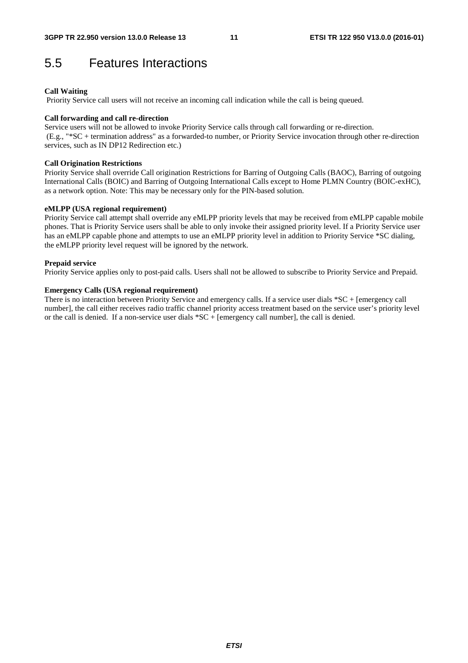### 5.5 Features Interactions

#### **Call Waiting**

Priority Service call users will not receive an incoming call indication while the call is being queued.

#### **Call forwarding and call re-direction**

Service users will not be allowed to invoke Priority Service calls through call forwarding or re-direction. (E.g., "\*SC + termination address" as a forwarded-to number, or Priority Service invocation through other re-direction services, such as IN DP12 Redirection etc.)

#### **Call Origination Restrictions**

Priority Service shall override Call origination Restrictions for Barring of Outgoing Calls (BAOC), Barring of outgoing International Calls (BOIC) and Barring of Outgoing International Calls except to Home PLMN Country (BOIC-exHC), as a network option. Note: This may be necessary only for the PIN-based solution.

#### **eMLPP (USA regional requirement)**

Priority Service call attempt shall override any eMLPP priority levels that may be received from eMLPP capable mobile phones. That is Priority Service users shall be able to only invoke their assigned priority level. If a Priority Service user has an eMLPP capable phone and attempts to use an eMLPP priority level in addition to Priority Service \*SC dialing, the eMLPP priority level request will be ignored by the network.

#### **Prepaid service**

Priority Service applies only to post-paid calls. Users shall not be allowed to subscribe to Priority Service and Prepaid.

#### **Emergency Calls (USA regional requirement)**

There is no interaction between Priority Service and emergency calls. If a service user dials \*SC + [emergency call number], the call either receives radio traffic channel priority access treatment based on the service user's priority level or the call is denied. If a non-service user dials \*SC + [emergency call number], the call is denied.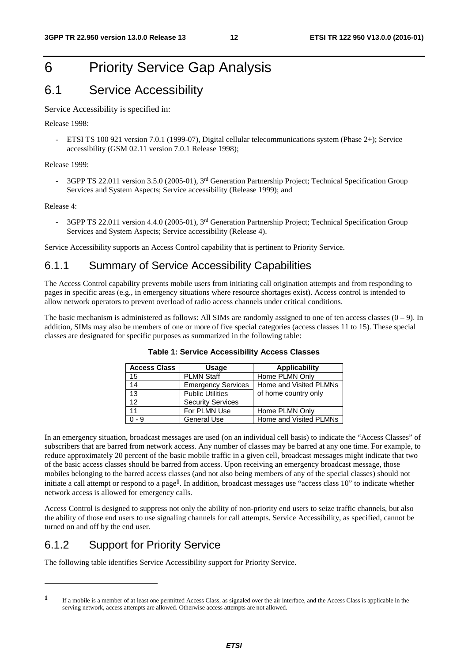## 6 Priority Service Gap Analysis

### 6.1 Service Accessibility

#### Service Accessibility is specified in:

Release 1998:

- ETSI TS 100 921 version 7.0.1 (1999-07), Digital cellular telecommunications system (Phase 2+); Service accessibility (GSM 02.11 version 7.0.1 Release 1998);

#### Release 1999:

3GPP TS 22.011 version 3.5.0 (2005-01), 3<sup>rd</sup> Generation Partnership Project; Technical Specification Group Services and System Aspects; Service accessibility (Release 1999); and

#### Release 4:

-

3GPP TS 22.011 version 4.4.0 (2005-01), 3<sup>rd</sup> Generation Partnership Project; Technical Specification Group Services and System Aspects; Service accessibility (Release 4).

Service Accessibility supports an Access Control capability that is pertinent to Priority Service.

### 6.1.1 Summary of Service Accessibility Capabilities

The Access Control capability prevents mobile users from initiating call origination attempts and from responding to pages in specific areas (e.g., in emergency situations where resource shortages exist). Access control is intended to allow network operators to prevent overload of radio access channels under critical conditions.

The basic mechanism is administered as follows: All SIMs are randomly assigned to one of ten access classes  $(0 - 9)$ . In addition, SIMs may also be members of one or more of five special categories (access classes 11 to 15). These special classes are designated for specific purposes as summarized in the following table:

| <b>Access Class</b> | Usage                     | <b>Applicability</b>   |
|---------------------|---------------------------|------------------------|
| 15                  | <b>PLMN Staff</b>         | Home PLMN Only         |
| 14                  | <b>Emergency Services</b> | Home and Visited PLMNs |
| 13                  | <b>Public Utilities</b>   | of home country only   |
| 12 <sup>2</sup>     | <b>Security Services</b>  |                        |
| 11                  | For PLMN Use              | Home PLMN Only         |
| $0 - 9$             | <b>General Use</b>        | Home and Visited PLMNs |

#### **Table 1: Service Accessibility Access Classes**

In an emergency situation, broadcast messages are used (on an individual cell basis) to indicate the "Access Classes" of subscribers that are barred from network access. Any number of classes may be barred at any one time. For example, to reduce approximately 20 percent of the basic mobile traffic in a given cell, broadcast messages might indicate that two of the basic access classes should be barred from access. Upon receiving an emergency broadcast message, those mobiles belonging to the barred access classes (and not also being members of any of the special classes) should not initiate a call attempt or respond to a page**1**. In addition, broadcast messages use "access class 10" to indicate whether network access is allowed for emergency calls.

Access Control is designed to suppress not only the ability of non-priority end users to seize traffic channels, but also the ability of those end users to use signaling channels for call attempts. Service Accessibility, as specified, cannot be turned on and off by the end user.

### 6.1.2 Support for Priority Service

The following table identifies Service Accessibility support for Priority Service.

**<sup>1</sup>** If a mobile is a member of at least one permitted Access Class, as signaled over the air interface, and the Access Class is applicable in the serving network, access attempts are allowed. Otherwise access attempts are not allowed.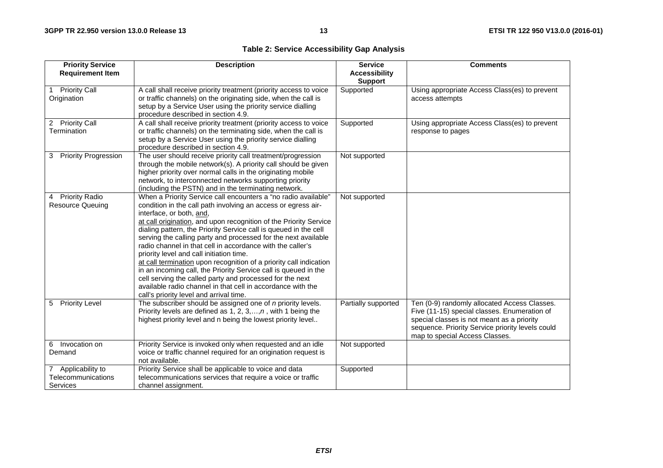### **Table 2: Service Accessibility Gap Analysis**

| <b>Priority Service</b><br><b>Requirement Item</b>          | <b>Description</b>                                                                                                                                                                                                                                                                                                                                                                                                                                                                                                                                                                                                                                                                                                                                                                              | <b>Service</b><br><b>Accessibility</b><br><b>Support</b> | <b>Comments</b>                                                                                                                                                                                                                  |
|-------------------------------------------------------------|-------------------------------------------------------------------------------------------------------------------------------------------------------------------------------------------------------------------------------------------------------------------------------------------------------------------------------------------------------------------------------------------------------------------------------------------------------------------------------------------------------------------------------------------------------------------------------------------------------------------------------------------------------------------------------------------------------------------------------------------------------------------------------------------------|----------------------------------------------------------|----------------------------------------------------------------------------------------------------------------------------------------------------------------------------------------------------------------------------------|
| Priority Call<br>Origination                                | A call shall receive priority treatment (priority access to voice<br>or traffic channels) on the originating side, when the call is<br>setup by a Service User using the priority service dialling<br>procedure described in section 4.9.                                                                                                                                                                                                                                                                                                                                                                                                                                                                                                                                                       | Supported                                                | Using appropriate Access Class(es) to prevent<br>access attempts                                                                                                                                                                 |
| <b>Priority Call</b><br>$\overline{2}$<br>Termination       | A call shall receive priority treatment (priority access to voice<br>or traffic channels) on the terminating side, when the call is<br>setup by a Service User using the priority service dialling<br>procedure described in section 4.9.                                                                                                                                                                                                                                                                                                                                                                                                                                                                                                                                                       | Supported                                                | Using appropriate Access Class(es) to prevent<br>response to pages                                                                                                                                                               |
| <b>Priority Progression</b><br>3                            | The user should receive priority call treatment/progression<br>through the mobile network(s). A priority call should be given<br>higher priority over normal calls in the originating mobile<br>network, to interconnected networks supporting priority<br>(including the PSTN) and in the terminating network.                                                                                                                                                                                                                                                                                                                                                                                                                                                                                 | Not supported                                            |                                                                                                                                                                                                                                  |
| <b>Priority Radio</b><br><b>Resource Queuing</b>            | When a Priority Service call encounters a "no radio available"<br>condition in the call path involving an access or egress air-<br>interface, or both, and,<br>at call origination, and upon recognition of the Priority Service<br>dialing pattern, the Priority Service call is queued in the cell<br>serving the calling party and processed for the next available<br>radio channel in that cell in accordance with the caller's<br>priority level and call initiation time.<br>at call termination upon recognition of a priority call indication<br>in an incoming call, the Priority Service call is queued in the<br>cell serving the called party and processed for the next<br>available radio channel in that cell in accordance with the<br>call's priority level and arrival time. | Not supported                                            |                                                                                                                                                                                                                                  |
| 5 Priority Level                                            | The subscriber should be assigned one of n priority levels.<br>Priority levels are defined as 1, 2, 3, , $n$ , with 1 being the<br>highest priority level and n being the lowest priority level                                                                                                                                                                                                                                                                                                                                                                                                                                                                                                                                                                                                 | Partially supported                                      | Ten (0-9) randomly allocated Access Classes.<br>Five (11-15) special classes. Enumeration of<br>special classes is not meant as a priority<br>sequence. Priority Service priority levels could<br>map to special Access Classes. |
| 6 Invocation on<br>Demand                                   | Priority Service is invoked only when requested and an idle<br>voice or traffic channel required for an origination request is<br>not available.                                                                                                                                                                                                                                                                                                                                                                                                                                                                                                                                                                                                                                                | Not supported                                            |                                                                                                                                                                                                                                  |
| 7 Applicability to<br>Telecommunications<br><b>Services</b> | Priority Service shall be applicable to voice and data<br>telecommunications services that require a voice or traffic<br>channel assignment.                                                                                                                                                                                                                                                                                                                                                                                                                                                                                                                                                                                                                                                    | Supported                                                |                                                                                                                                                                                                                                  |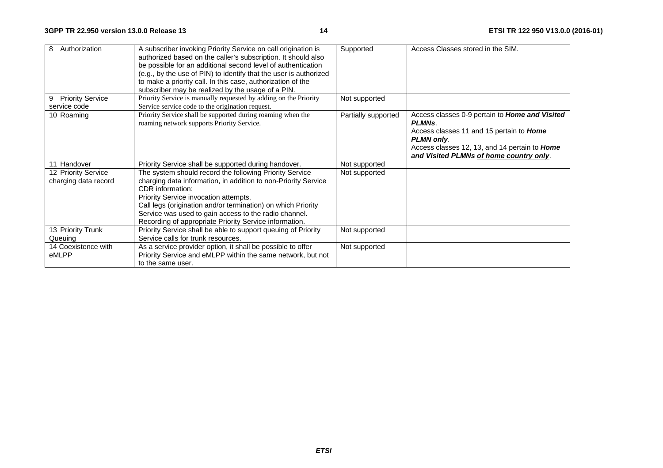| Authorization<br>8                          | A subscriber invoking Priority Service on call origination is<br>authorized based on the caller's subscription. It should also<br>be possible for an additional second level of authentication<br>(e.g., by the use of PIN) to identify that the user is authorized<br>to make a priority call. In this case, authorization of the<br>subscriber may be realized by the usage of a PIN. | Supported           | Access Classes stored in the SIM.                                                                                                                                                                                            |
|---------------------------------------------|-----------------------------------------------------------------------------------------------------------------------------------------------------------------------------------------------------------------------------------------------------------------------------------------------------------------------------------------------------------------------------------------|---------------------|------------------------------------------------------------------------------------------------------------------------------------------------------------------------------------------------------------------------------|
| <b>Priority Service</b><br>9                | Priority Service is manually requested by adding on the Priority                                                                                                                                                                                                                                                                                                                        | Not supported       |                                                                                                                                                                                                                              |
| service code                                | Service service code to the origination request.                                                                                                                                                                                                                                                                                                                                        |                     |                                                                                                                                                                                                                              |
| 10 Roaming                                  | Priority Service shall be supported during roaming when the<br>roaming network supports Priority Service.                                                                                                                                                                                                                                                                               | Partially supported | Access classes 0-9 pertain to Home and Visited<br><b>PLMNs.</b><br>Access classes 11 and 15 pertain to Home<br>PLMN only.<br>Access classes 12, 13, and 14 pertain to <b>Home</b><br>and Visited PLMNs of home country only. |
| Handover                                    | Priority Service shall be supported during handover.                                                                                                                                                                                                                                                                                                                                    | Not supported       |                                                                                                                                                                                                                              |
| 12 Priority Service<br>charging data record | The system should record the following Priority Service<br>charging data information, in addition to non-Priority Service<br>CDR information:<br>Priority Service invocation attempts,<br>Call legs (origination and/or termination) on which Priority<br>Service was used to gain access to the radio channel.<br>Recording of appropriate Priority Service information.               | Not supported       |                                                                                                                                                                                                                              |
| 13 Priority Trunk<br>Queuing                | Priority Service shall be able to support queuing of Priority<br>Service calls for trunk resources.                                                                                                                                                                                                                                                                                     | Not supported       |                                                                                                                                                                                                                              |
| 14 Coexistence with<br>eMLPP                | As a service provider option, it shall be possible to offer<br>Priority Service and eMLPP within the same network, but not<br>to the same user.                                                                                                                                                                                                                                         | Not supported       |                                                                                                                                                                                                                              |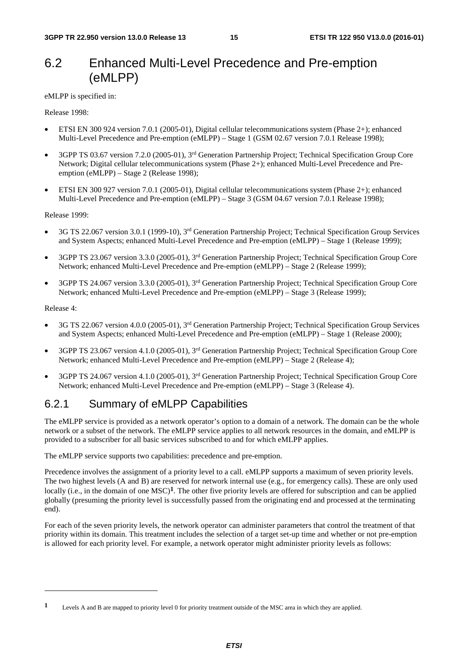### 6.2 Enhanced Multi-Level Precedence and Pre-emption (eMLPP)

eMLPP is specified in:

Release 1998:

- ETSI EN 300 924 version 7.0.1 (2005-01), Digital cellular telecommunications system (Phase 2+); enhanced Multi-Level Precedence and Pre-emption (eMLPP) – Stage 1 (GSM 02.67 version 7.0.1 Release 1998);
- 3GPP TS 03.67 version 7.2.0 (2005-01), 3rd Generation Partnership Project; Technical Specification Group Core Network; Digital cellular telecommunications system (Phase 2+); enhanced Multi-Level Precedence and Preemption (eMLPP) – Stage 2 (Release 1998);
- ETSI EN 300 927 version 7.0.1 (2005-01), Digital cellular telecommunications system (Phase 2+); enhanced Multi-Level Precedence and Pre-emption (eMLPP) – Stage 3 (GSM 04.67 version 7.0.1 Release 1998);

Release 1999:

- 3G TS 22.067 version 3.0.1 (1999-10), 3rd Generation Partnership Project; Technical Specification Group Services and System Aspects; enhanced Multi-Level Precedence and Pre-emption (eMLPP) – Stage 1 (Release 1999);
- 3GPP TS 23.067 version 3.3.0 (2005-01), 3rd Generation Partnership Project; Technical Specification Group Core Network; enhanced Multi-Level Precedence and Pre-emption (eMLPP) – Stage 2 (Release 1999);
- 3GPP TS 24.067 version 3.3.0 (2005-01), 3rd Generation Partnership Project; Technical Specification Group Core Network; enhanced Multi-Level Precedence and Pre-emption (eMLPP) – Stage 3 (Release 1999);

Release 4:

-

- 3G TS 22.067 version 4.0.0 (2005-01), 3rd Generation Partnership Project; Technical Specification Group Services and System Aspects; enhanced Multi-Level Precedence and Pre-emption (eMLPP) – Stage 1 (Release 2000);
- 3GPP TS 23.067 version 4.1.0 (2005-01), 3rd Generation Partnership Project; Technical Specification Group Core Network; enhanced Multi-Level Precedence and Pre-emption (eMLPP) – Stage 2 (Release 4);
- 3GPP TS 24.067 version 4.1.0 (2005-01), 3rd Generation Partnership Project; Technical Specification Group Core Network; enhanced Multi-Level Precedence and Pre-emption (eMLPP) – Stage 3 (Release 4).

### 6.2.1 Summary of eMLPP Capabilities

The eMLPP service is provided as a network operator's option to a domain of a network. The domain can be the whole network or a subset of the network. The eMLPP service applies to all network resources in the domain, and eMLPP is provided to a subscriber for all basic services subscribed to and for which eMLPP applies.

The eMLPP service supports two capabilities: precedence and pre-emption.

Precedence involves the assignment of a priority level to a call. eMLPP supports a maximum of seven priority levels. The two highest levels (A and B) are reserved for network internal use (e.g., for emergency calls). These are only used locally (i.e., in the domain of one MSC)**1**. The other five priority levels are offered for subscription and can be applied globally (presuming the priority level is successfully passed from the originating end and processed at the terminating end).

For each of the seven priority levels, the network operator can administer parameters that control the treatment of that priority within its domain. This treatment includes the selection of a target set-up time and whether or not pre-emption is allowed for each priority level. For example, a network operator might administer priority levels as follows:

**<sup>1</sup>** Levels A and B are mapped to priority level 0 for priority treatment outside of the MSC area in which they are applied.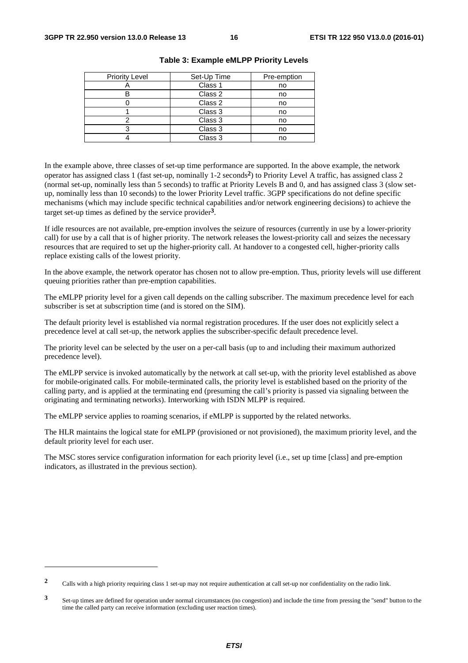| <b>Priority Level</b> | Set-Up Time | Pre-emption |
|-----------------------|-------------|-------------|
|                       | Class 1     | no          |
|                       | Class 2     | no          |
|                       | Class 2     | no          |
|                       | Class 3     | no          |
|                       | Class 3     | no          |
|                       | Class 3     | no          |
|                       | Class 3     | no          |

|  | Table 3: Example eMLPP Priority Levels |  |  |  |
|--|----------------------------------------|--|--|--|
|--|----------------------------------------|--|--|--|

In the example above, three classes of set-up time performance are supported. In the above example, the network operator has assigned class 1 (fast set-up, nominally 1-2 seconds**2**) to Priority Level A traffic, has assigned class 2 (normal set-up, nominally less than 5 seconds) to traffic at Priority Levels B and 0, and has assigned class 3 (slow setup, nominally less than 10 seconds) to the lower Priority Level traffic. 3GPP specifications do not define specific mechanisms (which may include specific technical capabilities and/or network engineering decisions) to achieve the target set-up times as defined by the service provider**3**.

If idle resources are not available, pre-emption involves the seizure of resources (currently in use by a lower-priority call) for use by a call that is of higher priority. The network releases the lowest-priority call and seizes the necessary resources that are required to set up the higher-priority call. At handover to a congested cell, higher-priority calls replace existing calls of the lowest priority.

In the above example, the network operator has chosen not to allow pre-emption. Thus, priority levels will use different queuing priorities rather than pre-emption capabilities.

The eMLPP priority level for a given call depends on the calling subscriber. The maximum precedence level for each subscriber is set at subscription time (and is stored on the SIM).

The default priority level is established via normal registration procedures. If the user does not explicitly select a precedence level at call set-up, the network applies the subscriber-specific default precedence level.

The priority level can be selected by the user on a per-call basis (up to and including their maximum authorized precedence level).

The eMLPP service is invoked automatically by the network at call set-up, with the priority level established as above for mobile-originated calls. For mobile-terminated calls, the priority level is established based on the priority of the calling party, and is applied at the terminating end (presuming the call's priority is passed via signaling between the originating and terminating networks). Interworking with ISDN MLPP is required.

The eMLPP service applies to roaming scenarios, if eMLPP is supported by the related networks.

The HLR maintains the logical state for eMLPP (provisioned or not provisioned), the maximum priority level, and the default priority level for each user.

The MSC stores service configuration information for each priority level (i.e., set up time [class] and pre-emption indicators, as illustrated in the previous section).

-

**<sup>2</sup>** Calls with a high priority requiring class 1 set-up may not require authentication at call set-up nor confidentiality on the radio link.

**<sup>3</sup>** Set-up times are defined for operation under normal circumstances (no congestion) and include the time from pressing the "send" button to the time the called party can receive information (excluding user reaction times).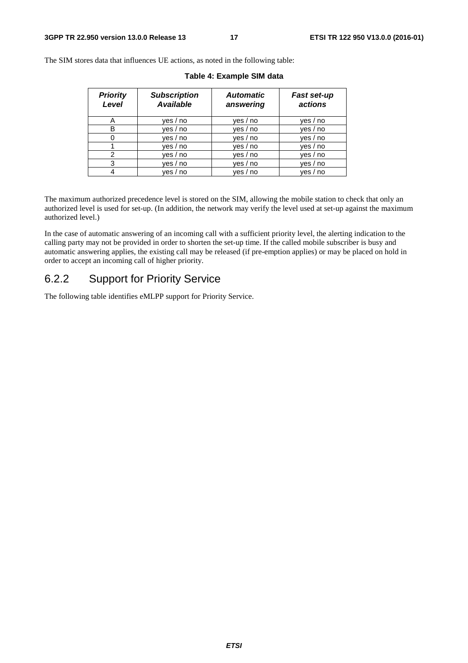The SIM stores data that influences UE actions, as noted in the following table:

| <b>Priority</b><br>Level | <b>Subscription</b><br><b>Available</b> | <b>Automatic</b><br>answering | Fast set-up<br>actions |
|--------------------------|-----------------------------------------|-------------------------------|------------------------|
| A                        | yes / no                                | yes / no                      | ves / no               |
| B                        | yes / no                                | ves / no                      | yes / no               |
|                          | yes / no                                | yes / no                      | yes / no               |
|                          | yes / no                                | yes / no                      | yes / no               |
| 2                        | yes / no                                | yes / no                      | yes / no               |
| 3                        | yes / no                                | yes / no                      | yes / no               |
|                          | ves / no                                | ves / no                      | ves / no               |

**Table 4: Example SIM data** 

The maximum authorized precedence level is stored on the SIM, allowing the mobile station to check that only an authorized level is used for set-up. (In addition, the network may verify the level used at set-up against the maximum authorized level.)

In the case of automatic answering of an incoming call with a sufficient priority level, the alerting indication to the calling party may not be provided in order to shorten the set-up time. If the called mobile subscriber is busy and automatic answering applies, the existing call may be released (if pre-emption applies) or may be placed on hold in order to accept an incoming call of higher priority.

### 6.2.2 Support for Priority Service

The following table identifies eMLPP support for Priority Service.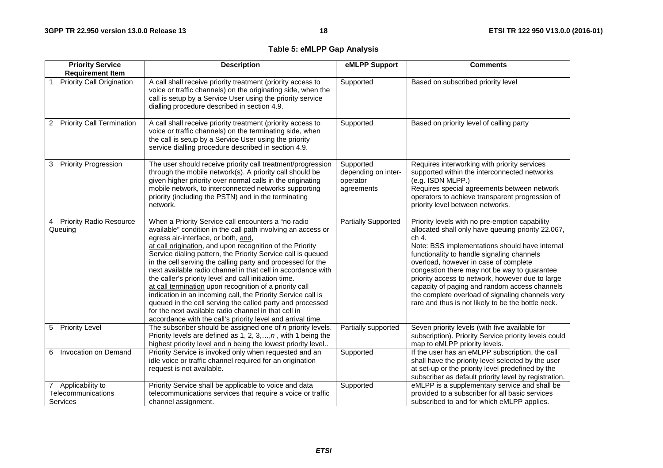### **Table 5: eMLPP Gap Analysis**

| <b>Priority Service</b>                              | <b>Description</b>                                                                                                                                                                                                                                                                                                                                                                                                                                                                                                                                                                                                                                                                                                                                                                             | eMLPP Support                                              | <b>Comments</b>                                                                                                                                                                                                                                                                                                                                                                                                                                                                                                       |
|------------------------------------------------------|------------------------------------------------------------------------------------------------------------------------------------------------------------------------------------------------------------------------------------------------------------------------------------------------------------------------------------------------------------------------------------------------------------------------------------------------------------------------------------------------------------------------------------------------------------------------------------------------------------------------------------------------------------------------------------------------------------------------------------------------------------------------------------------------|------------------------------------------------------------|-----------------------------------------------------------------------------------------------------------------------------------------------------------------------------------------------------------------------------------------------------------------------------------------------------------------------------------------------------------------------------------------------------------------------------------------------------------------------------------------------------------------------|
| <b>Requirement Item</b>                              |                                                                                                                                                                                                                                                                                                                                                                                                                                                                                                                                                                                                                                                                                                                                                                                                |                                                            |                                                                                                                                                                                                                                                                                                                                                                                                                                                                                                                       |
| <b>Priority Call Origination</b>                     | A call shall receive priority treatment (priority access to<br>voice or traffic channels) on the originating side, when the<br>call is setup by a Service User using the priority service<br>dialling procedure described in section 4.9.                                                                                                                                                                                                                                                                                                                                                                                                                                                                                                                                                      | Supported                                                  | Based on subscribed priority level                                                                                                                                                                                                                                                                                                                                                                                                                                                                                    |
| <b>Priority Call Termination</b><br>$\mathbf{2}$     | A call shall receive priority treatment (priority access to<br>voice or traffic channels) on the terminating side, when<br>the call is setup by a Service User using the priority<br>service dialling procedure described in section 4.9.                                                                                                                                                                                                                                                                                                                                                                                                                                                                                                                                                      | Supported                                                  | Based on priority level of calling party                                                                                                                                                                                                                                                                                                                                                                                                                                                                              |
| <b>Priority Progression</b><br>3                     | The user should receive priority call treatment/progression<br>through the mobile network(s). A priority call should be<br>given higher priority over normal calls in the originating<br>mobile network, to interconnected networks supporting<br>priority (including the PSTN) and in the terminating<br>network.                                                                                                                                                                                                                                                                                                                                                                                                                                                                             | Supported<br>depending on inter-<br>operator<br>agreements | Requires interworking with priority services<br>supported within the interconnected networks<br>(e.g. ISDN MLPP.)<br>Requires special agreements between network<br>operators to achieve transparent progression of<br>priority level between networks.                                                                                                                                                                                                                                                               |
| <b>Priority Radio Resource</b><br>4<br>Queuing       | When a Priority Service call encounters a "no radio<br>available" condition in the call path involving an access or<br>egress air-interface, or both, and,<br>at call origination, and upon recognition of the Priority<br>Service dialing pattern, the Priority Service call is queued<br>in the cell serving the calling party and processed for the<br>next available radio channel in that cell in accordance with<br>the caller's priority level and call initiation time.<br>at call termination upon recognition of a priority call<br>indication in an incoming call, the Priority Service call is<br>queued in the cell serving the called party and processed<br>for the next available radio channel in that cell in<br>accordance with the call's priority level and arrival time. | <b>Partially Supported</b>                                 | Priority levels with no pre-emption capability<br>allocated shall only have queuing priority 22.067,<br>ch 4.<br>Note: BSS implementations should have internal<br>functionality to handle signaling channels<br>overload, however in case of complete<br>congestion there may not be way to guarantee<br>priority access to network, however due to large<br>capacity of paging and random access channels<br>the complete overload of signaling channels very<br>rare and thus is not likely to be the bottle neck. |
| <b>Priority Level</b><br>5 <sup>5</sup>              | The subscriber should be assigned one of $n$ priority levels.<br>Priority levels are defined as 1, 2, $3,,n$ , with 1 being the<br>highest priority level and n being the lowest priority level                                                                                                                                                                                                                                                                                                                                                                                                                                                                                                                                                                                                | Partially supported                                        | Seven priority levels (with five available for<br>subscription). Priority Service priority levels could<br>map to eMLPP priority levels.                                                                                                                                                                                                                                                                                                                                                                              |
| Invocation on Demand<br>6                            | Priority Service is invoked only when requested and an<br>idle voice or traffic channel required for an origination<br>request is not available.                                                                                                                                                                                                                                                                                                                                                                                                                                                                                                                                                                                                                                               | Supported                                                  | If the user has an eMLPP subscription, the call<br>shall have the priority level selected by the user<br>at set-up or the priority level predefined by the<br>subscriber as default priority level by registration.                                                                                                                                                                                                                                                                                                   |
| 7 Applicability to<br>Telecommunications<br>Services | Priority Service shall be applicable to voice and data<br>telecommunications services that require a voice or traffic<br>channel assignment.                                                                                                                                                                                                                                                                                                                                                                                                                                                                                                                                                                                                                                                   | Supported                                                  | eMLPP is a supplementary service and shall be<br>provided to a subscriber for all basic services<br>subscribed to and for which eMLPP applies.                                                                                                                                                                                                                                                                                                                                                                        |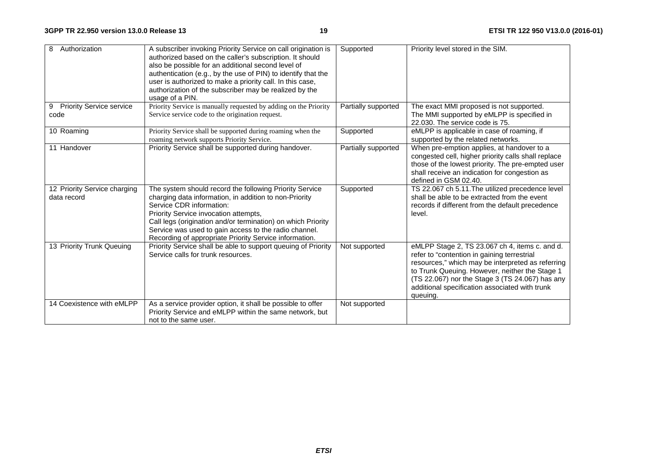| 8<br>Authorization                           | A subscriber invoking Priority Service on call origination is<br>authorized based on the caller's subscription. It should<br>also be possible for an additional second level of<br>authentication (e.g., by the use of PIN) to identify that the<br>user is authorized to make a priority call. In this case,<br>authorization of the subscriber may be realized by the<br>usage of a PIN. | Supported           | Priority level stored in the SIM.                                                                                                                                                                                                                                                                                     |
|----------------------------------------------|--------------------------------------------------------------------------------------------------------------------------------------------------------------------------------------------------------------------------------------------------------------------------------------------------------------------------------------------------------------------------------------------|---------------------|-----------------------------------------------------------------------------------------------------------------------------------------------------------------------------------------------------------------------------------------------------------------------------------------------------------------------|
| <b>Priority Service service</b><br>9<br>code | Priority Service is manually requested by adding on the Priority<br>Service service code to the origination request.                                                                                                                                                                                                                                                                       | Partially supported | The exact MMI proposed is not supported.<br>The MMI supported by eMLPP is specified in<br>22.030. The service code is 75.                                                                                                                                                                                             |
| 10 Roaming                                   | Priority Service shall be supported during roaming when the<br>roaming network supports Priority Service.                                                                                                                                                                                                                                                                                  | Supported           | eMLPP is applicable in case of roaming, if<br>supported by the related networks.                                                                                                                                                                                                                                      |
| 11 Handover                                  | Priority Service shall be supported during handover.                                                                                                                                                                                                                                                                                                                                       | Partially supported | When pre-emption applies, at handover to a<br>congested cell, higher priority calls shall replace<br>those of the lowest priority. The pre-empted user<br>shall receive an indication for congestion as<br>defined in GSM 02.40.                                                                                      |
| 12 Priority Service charging<br>data record  | The system should record the following Priority Service<br>charging data information, in addition to non-Priority<br>Service CDR information:<br>Priority Service invocation attempts,<br>Call legs (origination and/or termination) on which Priority<br>Service was used to gain access to the radio channel.<br>Recording of appropriate Priority Service information.                  | Supported           | TS 22.067 ch 5.11. The utilized precedence level<br>shall be able to be extracted from the event<br>records if different from the default precedence<br>level.                                                                                                                                                        |
| 13 Priority Trunk Queuing                    | Priority Service shall be able to support queuing of Priority<br>Service calls for trunk resources.                                                                                                                                                                                                                                                                                        | Not supported       | eMLPP Stage 2, TS 23.067 ch 4, items c. and d.<br>refer to "contention in gaining terrestrial<br>resources," which may be interpreted as referring<br>to Trunk Queuing. However, neither the Stage 1<br>(TS 22.067) nor the Stage 3 (TS 24.067) has any<br>additional specification associated with trunk<br>queuing. |
| 14 Coexistence with eMLPP                    | As a service provider option, it shall be possible to offer<br>Priority Service and eMLPP within the same network, but<br>not to the same user.                                                                                                                                                                                                                                            | Not supported       |                                                                                                                                                                                                                                                                                                                       |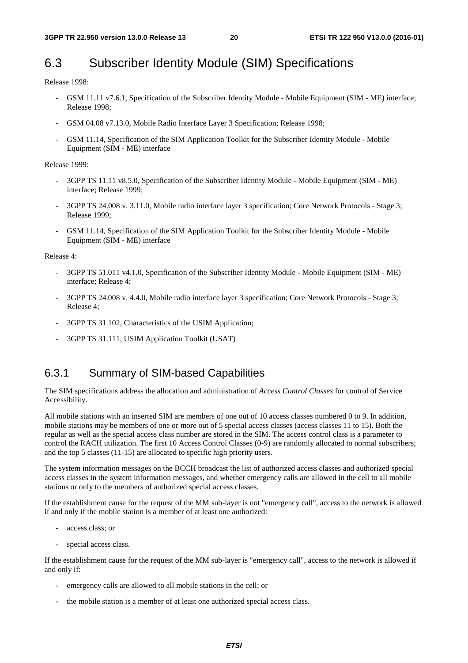## 6.3 Subscriber Identity Module (SIM) Specifications

Release 1998:

- GSM 11.11 v7.6.1, Specification of the Subscriber Identity Module Mobile Equipment (SIM ME) interface; Release 1998;
- GSM 04.08 v7.13.0, Mobile Radio Interface Layer 3 Specification; Release 1998;
- GSM 11.14, Specification of the SIM Application Toolkit for the Subscriber Identity Module Mobile Equipment (SIM - ME) interface

Release 1999:

- 3GPP TS 11.11 v8.5.0, Specification of the Subscriber Identity Module Mobile Equipment (SIM ME) interface; Release 1999;
- 3GPP TS 24.008 v. 3.11.0, Mobile radio interface layer 3 specification; Core Network Protocols Stage 3; Release 1999;
- GSM 11.14, Specification of the SIM Application Toolkit for the Subscriber Identity Module Mobile Equipment (SIM - ME) interface

Release 4:

- 3GPP TS 51.011 v4.1.0, Specification of the Subscriber Identity Module Mobile Equipment (SIM ME) interface; Release 4;
- 3GPP TS 24.008 v. 4.4.0, Mobile radio interface layer 3 specification; Core Network Protocols Stage 3; Release 4;
- 3GPP TS 31.102, Characteristics of the USIM Application;
- 3GPP TS 31.111, USIM Application Toolkit (USAT)

### 6.3.1 Summary of SIM-based Capabilities

The SIM specifications address the allocation and administration of *Access Control Classes* for control of Service Accessibility.

All mobile stations with an inserted SIM are members of one out of 10 access classes numbered 0 to 9. In addition, mobile stations may be members of one or more out of 5 special access classes (access classes 11 to 15). Both the regular as well as the special access class number are stored in the SIM. The access control class is a parameter to control the RACH utilization. The first 10 Access Control Classes (0-9) are randomly allocated to normal subscribers; and the top 5 classes (11-15) are allocated to specific high priority users.

The system information messages on the BCCH broadcast the list of authorized access classes and authorized special access classes in the system information messages, and whether emergency calls are allowed in the cell to all mobile stations or only to the members of authorized special access classes.

If the establishment cause for the request of the MM sub-layer is not "emergency call", access to the network is allowed if and only if the mobile station is a member of at least one authorized:

- access class; or
- special access class.

If the establishment cause for the request of the MM sub-layer is "emergency call", access to the network is allowed if and only if:

- emergency calls are allowed to all mobile stations in the cell; or
- the mobile station is a member of at least one authorized special access class.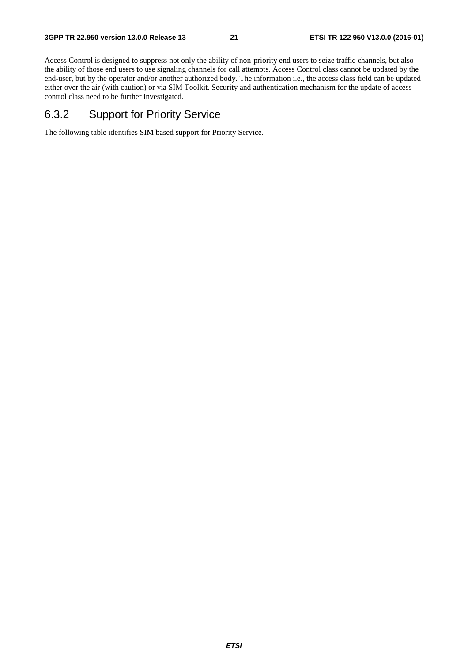Access Control is designed to suppress not only the ability of non-priority end users to seize traffic channels, but also the ability of those end users to use signaling channels for call attempts. Access Control class cannot be updated by the end-user, but by the operator and/or another authorized body. The information i.e., the access class field can be updated either over the air (with caution) or via SIM Toolkit. Security and authentication mechanism for the update of access control class need to be further investigated.

### 6.3.2 Support for Priority Service

The following table identifies SIM based support for Priority Service.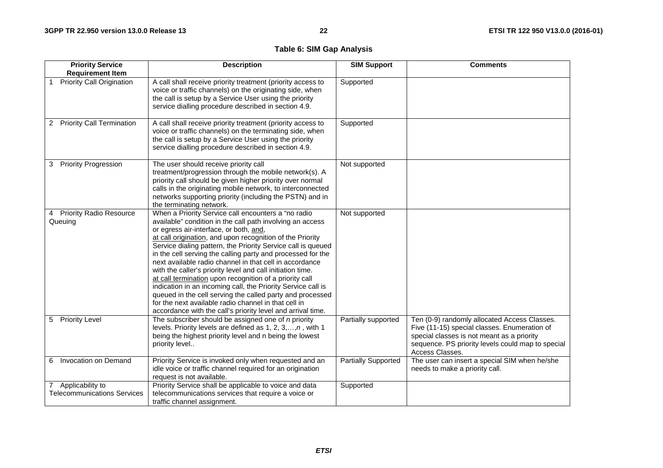### **Table 6: SIM Gap Analysis**

| <b>Priority Service</b><br><b>Requirement Item</b>       | <b>Description</b>                                                                                                                                                                                                                                                                                                                                                                                                                                                                                                                                                                                                                                                                                                                                                                             | <b>SIM Support</b>         | <b>Comments</b>                                                                                                                                                                                                    |
|----------------------------------------------------------|------------------------------------------------------------------------------------------------------------------------------------------------------------------------------------------------------------------------------------------------------------------------------------------------------------------------------------------------------------------------------------------------------------------------------------------------------------------------------------------------------------------------------------------------------------------------------------------------------------------------------------------------------------------------------------------------------------------------------------------------------------------------------------------------|----------------------------|--------------------------------------------------------------------------------------------------------------------------------------------------------------------------------------------------------------------|
| <b>Priority Call Origination</b>                         | A call shall receive priority treatment (priority access to<br>voice or traffic channels) on the originating side, when<br>the call is setup by a Service User using the priority<br>service dialling procedure described in section 4.9.                                                                                                                                                                                                                                                                                                                                                                                                                                                                                                                                                      | Supported                  |                                                                                                                                                                                                                    |
| <b>Priority Call Termination</b><br>$\overline{2}$       | A call shall receive priority treatment (priority access to<br>voice or traffic channels) on the terminating side, when<br>the call is setup by a Service User using the priority<br>service dialling procedure described in section 4.9.                                                                                                                                                                                                                                                                                                                                                                                                                                                                                                                                                      | Supported                  |                                                                                                                                                                                                                    |
| <b>Priority Progression</b><br>3                         | The user should receive priority call<br>treatment/progression through the mobile network(s). A<br>priority call should be given higher priority over normal<br>calls in the originating mobile network, to interconnected<br>networks supporting priority (including the PSTN) and in<br>the terminating network.                                                                                                                                                                                                                                                                                                                                                                                                                                                                             | Not supported              |                                                                                                                                                                                                                    |
| <b>Priority Radio Resource</b><br>4<br>Queuing           | When a Priority Service call encounters a "no radio<br>available" condition in the call path involving an access<br>or egress air-interface, or both, and,<br>at call origination, and upon recognition of the Priority<br>Service dialing pattern, the Priority Service call is queued<br>in the cell serving the calling party and processed for the<br>next available radio channel in that cell in accordance<br>with the caller's priority level and call initiation time.<br>at call termination upon recognition of a priority call<br>indication in an incoming call, the Priority Service call is<br>queued in the cell serving the called party and processed<br>for the next available radio channel in that cell in<br>accordance with the call's priority level and arrival time. | Not supported              |                                                                                                                                                                                                                    |
| 5 Priority Level                                         | The subscriber should be assigned one of $n$ priority<br>levels. Priority levels are defined as $1, 2, 3, \ldots, n$ , with 1<br>being the highest priority level and n being the lowest<br>priority level                                                                                                                                                                                                                                                                                                                                                                                                                                                                                                                                                                                     | Partially supported        | Ten (0-9) randomly allocated Access Classes.<br>Five (11-15) special classes. Enumeration of<br>special classes is not meant as a priority<br>sequence. PS priority levels could map to special<br>Access Classes. |
| Invocation on Demand<br>6                                | Priority Service is invoked only when requested and an<br>idle voice or traffic channel required for an origination<br>request is not available.                                                                                                                                                                                                                                                                                                                                                                                                                                                                                                                                                                                                                                               | <b>Partially Supported</b> | The user can insert a special SIM when he/she<br>needs to make a priority call.                                                                                                                                    |
| 7 Applicability to<br><b>Telecommunications Services</b> | Priority Service shall be applicable to voice and data<br>telecommunications services that require a voice or<br>traffic channel assignment.                                                                                                                                                                                                                                                                                                                                                                                                                                                                                                                                                                                                                                                   | Supported                  |                                                                                                                                                                                                                    |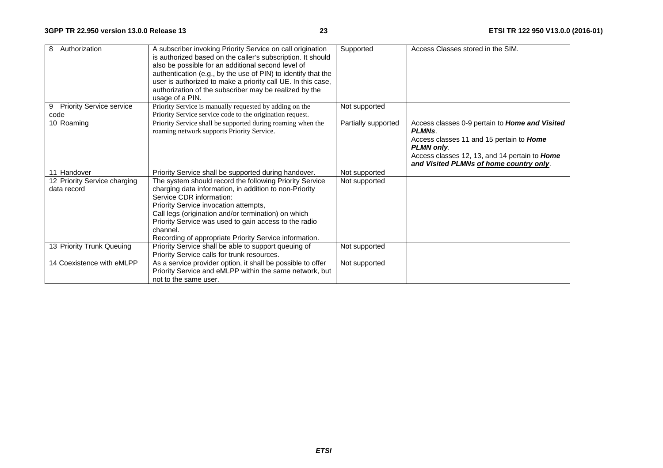| 8<br>Authorization                           | A subscriber invoking Priority Service on call origination<br>is authorized based on the caller's subscription. It should<br>also be possible for an additional second level of<br>authentication (e.g., by the use of PIN) to identify that the<br>user is authorized to make a priority call UE. In this case,<br>authorization of the subscriber may be realized by the<br>usage of a PIN. | Supported           | Access Classes stored in the SIM.                                                                                                                                                                                                  |
|----------------------------------------------|-----------------------------------------------------------------------------------------------------------------------------------------------------------------------------------------------------------------------------------------------------------------------------------------------------------------------------------------------------------------------------------------------|---------------------|------------------------------------------------------------------------------------------------------------------------------------------------------------------------------------------------------------------------------------|
| <b>Priority Service service</b><br>9<br>code | Priority Service is manually requested by adding on the<br>Priority Service service code to the origination request.                                                                                                                                                                                                                                                                          | Not supported       |                                                                                                                                                                                                                                    |
| 10 Roaming                                   | Priority Service shall be supported during roaming when the<br>roaming network supports Priority Service.                                                                                                                                                                                                                                                                                     | Partially supported | Access classes 0-9 pertain to Home and Visited<br>PLMN <sub>S</sub> .<br>Access classes 11 and 15 pertain to Home<br>PLMN only.<br>Access classes 12, 13, and 14 pertain to <b>Home</b><br>and Visited PLMNs of home country only. |
| 11 Handover                                  | Priority Service shall be supported during handover.                                                                                                                                                                                                                                                                                                                                          | Not supported       |                                                                                                                                                                                                                                    |
| 12 Priority Service charging<br>data record  | The system should record the following Priority Service<br>charging data information, in addition to non-Priority<br>Service CDR information:<br>Priority Service invocation attempts,<br>Call legs (origination and/or termination) on which<br>Priority Service was used to gain access to the radio<br>channel.<br>Recording of appropriate Priority Service information.                  | Not supported       |                                                                                                                                                                                                                                    |
| 13 Priority Trunk Queuing                    | Priority Service shall be able to support queuing of<br>Priority Service calls for trunk resources.                                                                                                                                                                                                                                                                                           | Not supported       |                                                                                                                                                                                                                                    |
| 14 Coexistence with eMLPP                    | As a service provider option, it shall be possible to offer<br>Priority Service and eMLPP within the same network, but<br>not to the same user.                                                                                                                                                                                                                                               | Not supported       |                                                                                                                                                                                                                                    |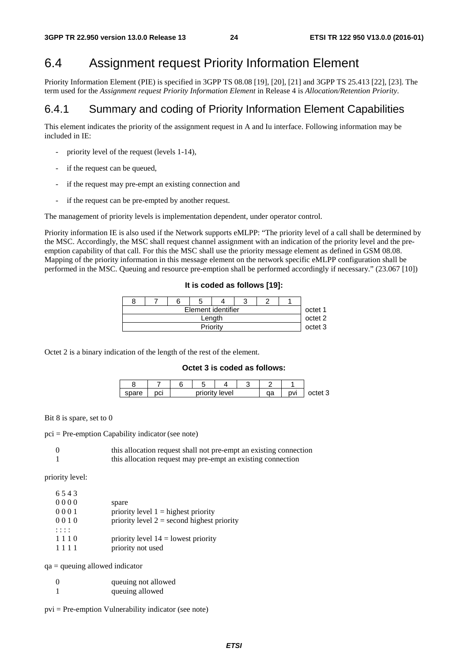## 6.4 Assignment request Priority Information Element

Priority Information Element (PIE) is specified in 3GPP TS 08.08 [19], [20], [21] and 3GPP TS 25.413 [22], [23]. The term used for the *Assignment request Priority Information Element* in Release 4 is *Allocation/Retention Priority*.

### 6.4.1 Summary and coding of Priority Information Element Capabilities

This element indicates the priority of the assignment request in A and Iu interface. Following information may be included in IE:

- priority level of the request (levels 1-14),
- if the request can be queued,
- if the request may pre-empt an existing connection and
- if the request can be pre-empted by another request.

The management of priority levels is implementation dependent, under operator control.

Priority information IE is also used if the Network supports eMLPP: "The priority level of a call shall be determined by the MSC. Accordingly, the MSC shall request channel assignment with an indication of the priority level and the preemption capability of that call. For this the MSC shall use the priority message element as defined in GSM 08.08. Mapping of the priority information in this message element on the network specific eMLPP configuration shall be performed in the MSC. Queuing and resource pre-emption shall be performed accordingly if necessary." (23.067 [10])

|  |  |  |  | It is coded as follows [19]: |  |
|--|--|--|--|------------------------------|--|
|--|--|--|--|------------------------------|--|

|          | Element identifier |  |  |  |  |  |  |  |  |
|----------|--------------------|--|--|--|--|--|--|--|--|
|          | Length             |  |  |  |  |  |  |  |  |
| Priority |                    |  |  |  |  |  |  |  |  |

Octet 2 is a binary indication of the length of the rest of the element.

#### **Octet 3 is coded as follows:**

| snare | ימ<br>וטי |  | priority level | $\sim$<br>ua | nvi | nntat ? |  |
|-------|-----------|--|----------------|--------------|-----|---------|--|

Bit 8 is spare, set to 0

pci = Pre-emption Capability indicator (see note)

| this allocation request shall not pre-empt an existing connection |
|-------------------------------------------------------------------|
| this allocation request may pre-empt an existing connection       |

priority level: 6 5 4 3

| 6.54.3 |                                              |
|--------|----------------------------------------------|
| 0000   | spare                                        |
| 0001   | priority level $1 =$ highest priority        |
| 0010   | priority level $2 =$ second highest priority |
|        |                                              |
| 1110   | priority level $14 =$ lowest priority        |
| 1111   | priority not used                            |

 $qa =$  queuing allowed indicator

| $\Omega$ | queuing not allowed |
|----------|---------------------|
|          | queuing allowed     |

pvi = Pre-emption Vulnerability indicator (see note)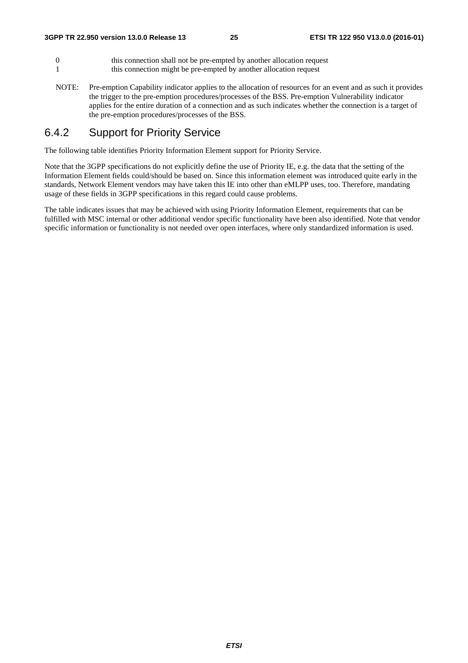- 0 this connection shall not be pre-empted by another allocation request 1 this connection might be pre-empted by another allocation request
- NOTE: Pre-emption Capability indicator applies to the allocation of resources for an event and as such it provides the trigger to the pre-emption procedures/processes of the BSS. Pre-emption Vulnerability indicator applies for the entire duration of a connection and as such indicates whether the connection is a target of the pre-emption procedures/processes of the BSS.

### 6.4.2 Support for Priority Service

The following table identifies Priority Information Element support for Priority Service.

Note that the 3GPP specifications do not explicitly define the use of Priority IE, e.g. the data that the setting of the Information Element fields could/should be based on. Since this information element was introduced quite early in the standards, Network Element vendors may have taken this IE into other than eMLPP uses, too. Therefore, mandating usage of these fields in 3GPP specifications in this regard could cause problems.

The table indicates issues that may be achieved with using Priority Information Element, requirements that can be fulfilled with MSC internal or other additional vendor specific functionality have been also identified. Note that vendor specific information or functionality is not needed over open interfaces, where only standardized information is used.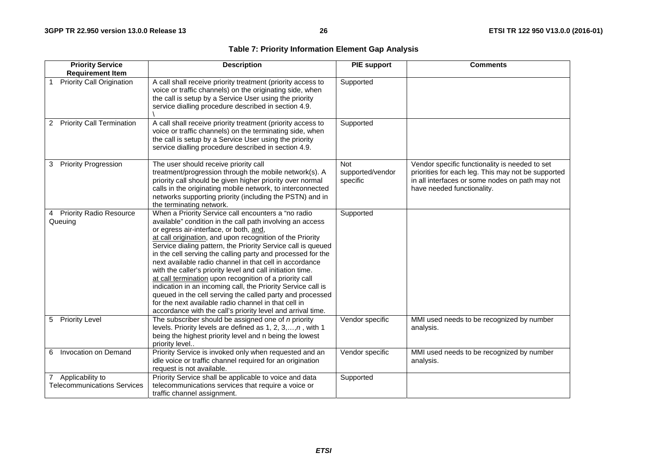### **Table 7: Priority Information Element Gap Analysis**

| <b>Priority Service</b><br><b>Requirement Item</b>          | <b>Description</b>                                                                                                                                                                                                                                                                                                                                                                                                                                                                                                                                                                                                                                                                                                                                                                             | <b>PIE</b> support                         | <b>Comments</b>                                                                                                                                                                       |
|-------------------------------------------------------------|------------------------------------------------------------------------------------------------------------------------------------------------------------------------------------------------------------------------------------------------------------------------------------------------------------------------------------------------------------------------------------------------------------------------------------------------------------------------------------------------------------------------------------------------------------------------------------------------------------------------------------------------------------------------------------------------------------------------------------------------------------------------------------------------|--------------------------------------------|---------------------------------------------------------------------------------------------------------------------------------------------------------------------------------------|
| <b>Priority Call Origination</b>                            | A call shall receive priority treatment (priority access to<br>voice or traffic channels) on the originating side, when<br>the call is setup by a Service User using the priority<br>service dialling procedure described in section 4.9.                                                                                                                                                                                                                                                                                                                                                                                                                                                                                                                                                      | Supported                                  |                                                                                                                                                                                       |
| <b>Priority Call Termination</b><br>2                       | A call shall receive priority treatment (priority access to<br>voice or traffic channels) on the terminating side, when<br>the call is setup by a Service User using the priority<br>service dialling procedure described in section 4.9.                                                                                                                                                                                                                                                                                                                                                                                                                                                                                                                                                      | Supported                                  |                                                                                                                                                                                       |
| <b>Priority Progression</b><br>3                            | The user should receive priority call<br>treatment/progression through the mobile network(s). A<br>priority call should be given higher priority over normal<br>calls in the originating mobile network, to interconnected<br>networks supporting priority (including the PSTN) and in<br>the terminating network.                                                                                                                                                                                                                                                                                                                                                                                                                                                                             | <b>Not</b><br>supported/vendor<br>specific | Vendor specific functionality is needed to set<br>priorities for each leg. This may not be supported<br>in all interfaces or some nodes on path may not<br>have needed functionality. |
| <b>Priority Radio Resource</b><br>4<br>Queuing              | When a Priority Service call encounters a "no radio<br>available" condition in the call path involving an access<br>or egress air-interface, or both, and,<br>at call origination, and upon recognition of the Priority<br>Service dialing pattern, the Priority Service call is queued<br>in the cell serving the calling party and processed for the<br>next available radio channel in that cell in accordance<br>with the caller's priority level and call initiation time.<br>at call termination upon recognition of a priority call<br>indication in an incoming call, the Priority Service call is<br>queued in the cell serving the called party and processed<br>for the next available radio channel in that cell in<br>accordance with the call's priority level and arrival time. | Supported                                  |                                                                                                                                                                                       |
| <b>Priority Level</b><br>5                                  | The subscriber should be assigned one of $n$ priority<br>levels. Priority levels are defined as $1, 2, 3, \ldots, n$ , with 1<br>being the highest priority level and n being the lowest<br>priority level                                                                                                                                                                                                                                                                                                                                                                                                                                                                                                                                                                                     | Vendor specific                            | MMI used needs to be recognized by number<br>analysis.                                                                                                                                |
| Invocation on Demand<br>6.                                  | Priority Service is invoked only when requested and an<br>idle voice or traffic channel required for an origination<br>request is not available.                                                                                                                                                                                                                                                                                                                                                                                                                                                                                                                                                                                                                                               | Vendor specific                            | MMI used needs to be recognized by number<br>analysis.                                                                                                                                |
| Applicability to<br>7<br><b>Telecommunications Services</b> | Priority Service shall be applicable to voice and data<br>telecommunications services that require a voice or<br>traffic channel assignment.                                                                                                                                                                                                                                                                                                                                                                                                                                                                                                                                                                                                                                                   | Supported                                  |                                                                                                                                                                                       |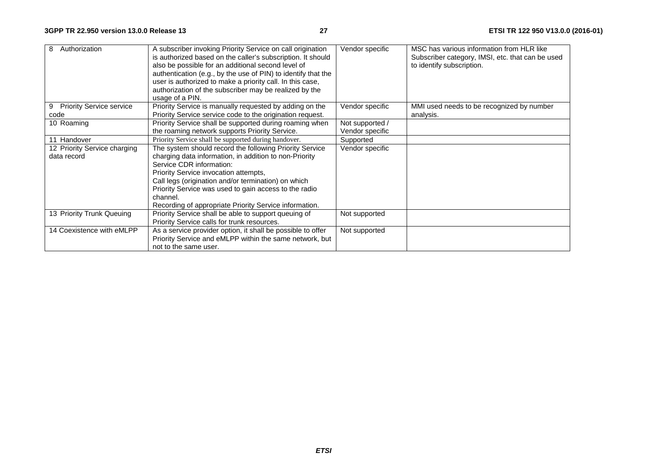| Authorization<br>8                   | A subscriber invoking Priority Service on call origination<br>is authorized based on the caller's subscription. It should<br>also be possible for an additional second level of<br>authentication (e.g., by the use of PIN) to identify that the<br>user is authorized to make a priority call. In this case,<br>authorization of the subscriber may be realized by the<br>usage of a PIN. | Vendor specific | MSC has various information from HLR like<br>Subscriber category, IMSI, etc. that can be used<br>to identify subscription. |
|--------------------------------------|--------------------------------------------------------------------------------------------------------------------------------------------------------------------------------------------------------------------------------------------------------------------------------------------------------------------------------------------------------------------------------------------|-----------------|----------------------------------------------------------------------------------------------------------------------------|
| <b>Priority Service service</b><br>9 | Priority Service is manually requested by adding on the                                                                                                                                                                                                                                                                                                                                    | Vendor specific | MMI used needs to be recognized by number                                                                                  |
| code                                 | Priority Service service code to the origination request.                                                                                                                                                                                                                                                                                                                                  |                 | analysis.                                                                                                                  |
| 10 Roaming                           | Priority Service shall be supported during roaming when                                                                                                                                                                                                                                                                                                                                    | Not supported / |                                                                                                                            |
|                                      | the roaming network supports Priority Service.                                                                                                                                                                                                                                                                                                                                             | Vendor specific |                                                                                                                            |
| 11 Handover                          | Priority Service shall be supported during handover.                                                                                                                                                                                                                                                                                                                                       | Supported       |                                                                                                                            |
| 12 Priority Service charging         | The system should record the following Priority Service                                                                                                                                                                                                                                                                                                                                    | Vendor specific |                                                                                                                            |
| data record                          | charging data information, in addition to non-Priority                                                                                                                                                                                                                                                                                                                                     |                 |                                                                                                                            |
|                                      | Service CDR information:                                                                                                                                                                                                                                                                                                                                                                   |                 |                                                                                                                            |
|                                      | Priority Service invocation attempts,                                                                                                                                                                                                                                                                                                                                                      |                 |                                                                                                                            |
|                                      | Call legs (origination and/or termination) on which                                                                                                                                                                                                                                                                                                                                        |                 |                                                                                                                            |
|                                      | Priority Service was used to gain access to the radio                                                                                                                                                                                                                                                                                                                                      |                 |                                                                                                                            |
|                                      | channel.                                                                                                                                                                                                                                                                                                                                                                                   |                 |                                                                                                                            |
|                                      | Recording of appropriate Priority Service information.                                                                                                                                                                                                                                                                                                                                     |                 |                                                                                                                            |
| 13 Priority Trunk Queuing            | Priority Service shall be able to support queuing of                                                                                                                                                                                                                                                                                                                                       | Not supported   |                                                                                                                            |
|                                      | Priority Service calls for trunk resources.                                                                                                                                                                                                                                                                                                                                                |                 |                                                                                                                            |
| 14 Coexistence with eMLPP            | As a service provider option, it shall be possible to offer                                                                                                                                                                                                                                                                                                                                | Not supported   |                                                                                                                            |
|                                      | Priority Service and eMLPP within the same network, but                                                                                                                                                                                                                                                                                                                                    |                 |                                                                                                                            |
|                                      | not to the same user.                                                                                                                                                                                                                                                                                                                                                                      |                 |                                                                                                                            |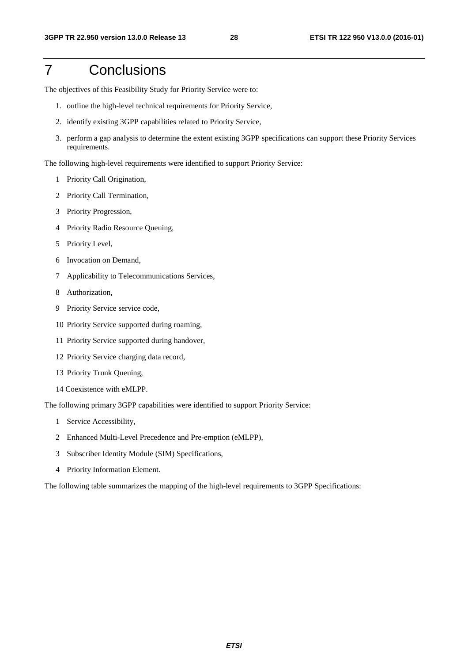## 7 Conclusions

The objectives of this Feasibility Study for Priority Service were to:

- 1. outline the high-level technical requirements for Priority Service,
- 2. identify existing 3GPP capabilities related to Priority Service,
- 3. perform a gap analysis to determine the extent existing 3GPP specifications can support these Priority Services requirements.

The following high-level requirements were identified to support Priority Service:

- 1 Priority Call Origination,
- 2 Priority Call Termination,
- 3 Priority Progression,
- 4 Priority Radio Resource Queuing,
- 5 Priority Level,
- 6 Invocation on Demand,
- 7 Applicability to Telecommunications Services,
- 8 Authorization,
- 9 Priority Service service code,
- 10 Priority Service supported during roaming,
- 11 Priority Service supported during handover,
- 12 Priority Service charging data record,
- 13 Priority Trunk Queuing,
- 14 Coexistence with eMLPP.

The following primary 3GPP capabilities were identified to support Priority Service:

- 1 Service Accessibility,
- 2 Enhanced Multi-Level Precedence and Pre-emption (eMLPP),
- 3 Subscriber Identity Module (SIM) Specifications,
- 4 Priority Information Element.

The following table summarizes the mapping of the high-level requirements to 3GPP Specifications: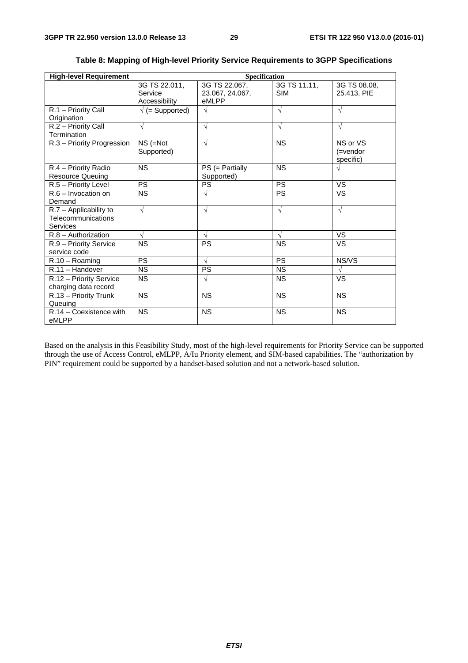| <b>High-level Requirement</b><br>Specification                    |                                           |                                           |                            |                                      |  |  |  |
|-------------------------------------------------------------------|-------------------------------------------|-------------------------------------------|----------------------------|--------------------------------------|--|--|--|
|                                                                   | 3G TS 22.011,<br>Service<br>Accessibility | 3G TS 22.067,<br>23.067, 24.067,<br>eMLPP | 3G TS 11.11,<br><b>SIM</b> | 3G TS 08.08,<br>25.413. PIE          |  |  |  |
| R.1 - Priority Call<br>Origination                                | $\sqrt{}$ (= Supported)                   | $\sqrt{}$                                 | V                          | $\sqrt{ }$                           |  |  |  |
| R.2 - Priority Call<br>Termination                                | $\sqrt{}$                                 | $\sqrt{}$                                 | $\sqrt{}$                  | $\sqrt{}$                            |  |  |  |
| R.3 - Priority Progression                                        | $NS (=Not)$<br>Supported)                 | $\sqrt{ }$                                | <b>NS</b>                  | NS or VS<br>$($ =vendor<br>specific) |  |  |  |
| R.4 - Priority Radio<br><b>Resource Queuing</b>                   | <b>NS</b>                                 | $PS (= Partially$<br>Supported)           | <b>NS</b>                  | $\sqrt{ }$                           |  |  |  |
| R.5 - Priority Level                                              | <b>PS</b>                                 | PS                                        | <b>PS</b>                  | VS                                   |  |  |  |
| $R.6 - Invection on$<br>Demand                                    | <b>NS</b>                                 | $\sqrt{}$                                 | <b>PS</b>                  | <b>VS</b>                            |  |  |  |
| $R.7 -$ Applicability to<br>Telecommunications<br><b>Services</b> | $\sqrt{ }$                                | $\sqrt{ }$                                | $\sqrt{ }$                 | $\sqrt{ }$                           |  |  |  |
| $R.8 -$ Authorization                                             | $\sqrt{ }$                                | $\sqrt{ }$                                | V                          | <b>VS</b>                            |  |  |  |
| R.9 - Priority Service<br>service code                            | <b>NS</b>                                 | PS                                        | <b>NS</b>                  | VS                                   |  |  |  |
| $R.10 - Roaming$                                                  | $\overline{PS}$                           | $\sqrt{}$                                 | <b>PS</b>                  | NS/VS                                |  |  |  |
| $R.11 - H$ andover                                                | <b>NS</b>                                 | <b>PS</b>                                 | <b>NS</b>                  | $\sqrt{ }$                           |  |  |  |
| R.12 - Priority Service<br>charging data record                   | <b>NS</b>                                 | $\sqrt{}$                                 | <b>NS</b>                  | VS                                   |  |  |  |
| $\overline{R.13}$ – Priority Trunk<br>Queuing                     | <b>NS</b>                                 | <b>NS</b>                                 | <b>NS</b>                  | <b>NS</b>                            |  |  |  |
| $R.14 - Coexistence$ with<br>eMLPP                                | <b>NS</b>                                 | <b>NS</b>                                 | <b>NS</b>                  | <b>NS</b>                            |  |  |  |

### **Table 8: Mapping of High-level Priority Service Requirements to 3GPP Specifications**

Based on the analysis in this Feasibility Study, most of the high-level requirements for Priority Service can be supported through the use of Access Control, eMLPP, A/Iu Priority element, and SIM-based capabilities. The "authorization by PIN" requirement could be supported by a handset-based solution and not a network-based solution.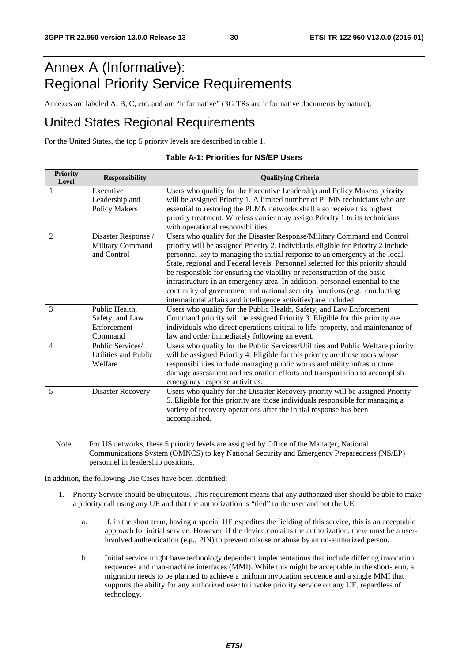## Annex A (Informative): Regional Priority Service Requirements

Annexes are labeled A, B, C, etc. and are "informative" (3G TRs are informative documents by nature).

### United States Regional Requirements

For the United States, the top 5 priority levels are described in table 1.

| <b>Priority</b><br>Level | <b>Responsibility</b> | <b>Qualifying Criteria</b>                                                                                                                                 |
|--------------------------|-----------------------|------------------------------------------------------------------------------------------------------------------------------------------------------------|
|                          | Executive             | Users who qualify for the Executive Leadership and Policy Makers priority                                                                                  |
|                          | Leadership and        | will be assigned Priority 1. A limited number of PLMN technicians who are                                                                                  |
|                          | <b>Policy Makers</b>  | essential to restoring the PLMN networks shall also receive this highest                                                                                   |
|                          |                       | priority treatment. Wireless carrier may assign Priority 1 to its technicians                                                                              |
|                          |                       | with operational responsibilities.                                                                                                                         |
| $\mathfrak{D}$           | Disaster Response /   | Users who qualify for the Disaster Response/Military Command and Control                                                                                   |
|                          | Military Command      | priority will be assigned Priority 2. Individuals eligible for Priority 2 include                                                                          |
|                          | and Control           | personnel key to managing the initial response to an emergency at the local,                                                                               |
|                          |                       | State, regional and Federal levels. Personnel selected for this priority should                                                                            |
|                          |                       | be responsible for ensuring the viability or reconstruction of the basic                                                                                   |
|                          |                       | infrastructure in an emergency area. In addition, personnel essential to the<br>continuity of government and national security functions (e.g., conducting |
|                          |                       | international affairs and intelligence activities) are included.                                                                                           |
| 3                        | Public Health,        | Users who qualify for the Public Health, Safety, and Law Enforcement                                                                                       |
|                          | Safety, and Law       | Command priority will be assigned Priority 3. Eligible for this priority are                                                                               |
|                          | Enforcement           | individuals who direct operations critical to life, property, and maintenance of                                                                           |
|                          | Command               | law and order immediately following an event.                                                                                                              |
| $\overline{4}$           | Public Services/      | Users who qualify for the Public Services/Utilities and Public Welfare priority                                                                            |
|                          | Utilities and Public  | will be assigned Priority 4. Eligible for this priority are those users whose                                                                              |
|                          | Welfare               | responsibilities include managing public works and utility infrastructure                                                                                  |
|                          |                       | damage assessment and restoration efforts and transportation to accomplish                                                                                 |
|                          |                       | emergency response activities.                                                                                                                             |
| 5                        | Disaster Recovery     | Users who qualify for the Disaster Recovery priority will be assigned Priority                                                                             |
|                          |                       | 5. Eligible for this priority are those individuals responsible for managing a                                                                             |
|                          |                       | variety of recovery operations after the initial response has been                                                                                         |
|                          |                       | accomplished.                                                                                                                                              |

#### **Table A-1: Priorities for NS/EP Users**

Note: For US networks, these 5 priority levels are assigned by Office of the Manager, National Communications System (OMNCS) to key National Security and Emergency Preparedness (NS/EP) personnel in leadership positions.

In addition, the following Use Cases have been identified:

- 1. Priority Service should be ubiquitous. This requirement means that any authorized user should be able to make a priority call using any UE and that the authorization is "tied" to the user and not the UE.
	- a. If, in the short term, having a special UE expedites the fielding of this service, this is an acceptable approach for initial service. However, if the device contains the authorization, there must be a userinvolved authentication (e.g., PIN) to prevent misuse or abuse by an un-authorized person.
	- b. Initial service might have technology dependent implementations that include differing invocation sequences and man-machine interfaces (MMI). While this might be acceptable in the short-term, a migration needs to be planned to achieve a uniform invocation sequence and a single MMI that supports the ability for any authorized user to invoke priority service on any UE, regardless of technology.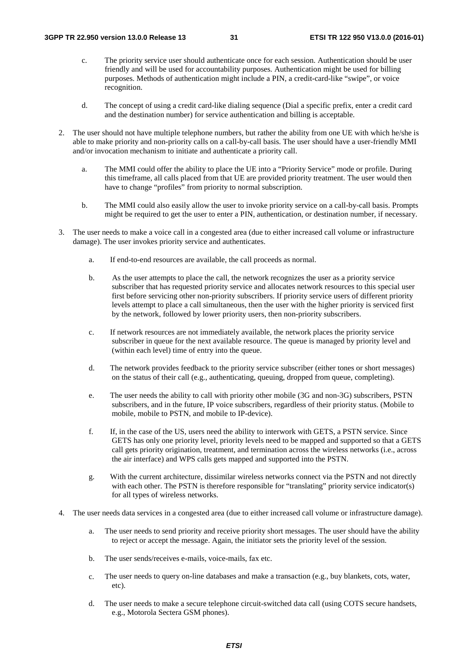- c. The priority service user should authenticate once for each session. Authentication should be user friendly and will be used for accountability purposes. Authentication might be used for billing purposes. Methods of authentication might include a PIN, a credit-card-like "swipe", or voice recognition.
- d. The concept of using a credit card-like dialing sequence (Dial a specific prefix, enter a credit card and the destination number) for service authentication and billing is acceptable.
- 2. The user should not have multiple telephone numbers, but rather the ability from one UE with which he/she is able to make priority and non-priority calls on a call-by-call basis. The user should have a user-friendly MMI and/or invocation mechanism to initiate and authenticate a priority call.
	- a. The MMI could offer the ability to place the UE into a "Priority Service" mode or profile. During this timeframe, all calls placed from that UE are provided priority treatment. The user would then have to change "profiles" from priority to normal subscription.
	- b. The MMI could also easily allow the user to invoke priority service on a call-by-call basis. Prompts might be required to get the user to enter a PIN, authentication, or destination number, if necessary.
- 3. The user needs to make a voice call in a congested area (due to either increased call volume or infrastructure damage). The user invokes priority service and authenticates.
	- a. If end-to-end resources are available, the call proceeds as normal.
	- b. As the user attempts to place the call, the network recognizes the user as a priority service subscriber that has requested priority service and allocates network resources to this special user first before servicing other non-priority subscribers. If priority service users of different priority levels attempt to place a call simultaneous, then the user with the higher priority is serviced first by the network, followed by lower priority users, then non-priority subscribers.
	- c. If network resources are not immediately available, the network places the priority service subscriber in queue for the next available resource. The queue is managed by priority level and (within each level) time of entry into the queue.
	- d. The network provides feedback to the priority service subscriber (either tones or short messages) on the status of their call (e.g., authenticating, queuing, dropped from queue, completing).
	- e. The user needs the ability to call with priority other mobile (3G and non-3G) subscribers, PSTN subscribers, and in the future, IP voice subscribers, regardless of their priority status. (Mobile to mobile, mobile to PSTN, and mobile to IP-device).
	- f. If, in the case of the US, users need the ability to interwork with GETS, a PSTN service. Since GETS has only one priority level, priority levels need to be mapped and supported so that a GETS call gets priority origination, treatment, and termination across the wireless networks (i.e., across the air interface) and WPS calls gets mapped and supported into the PSTN.
	- g. With the current architecture, dissimilar wireless networks connect via the PSTN and not directly with each other. The PSTN is therefore responsible for "translating" priority service indicator(s) for all types of wireless networks.
- 4. The user needs data services in a congested area (due to either increased call volume or infrastructure damage).
	- a. The user needs to send priority and receive priority short messages. The user should have the ability to reject or accept the message. Again, the initiator sets the priority level of the session.
	- b. The user sends/receives e-mails, voice-mails, fax etc.
	- c. The user needs to query on-line databases and make a transaction (e.g., buy blankets, cots, water, etc).
	- d. The user needs to make a secure telephone circuit-switched data call (using COTS secure handsets, e.g., Motorola Sectera GSM phones).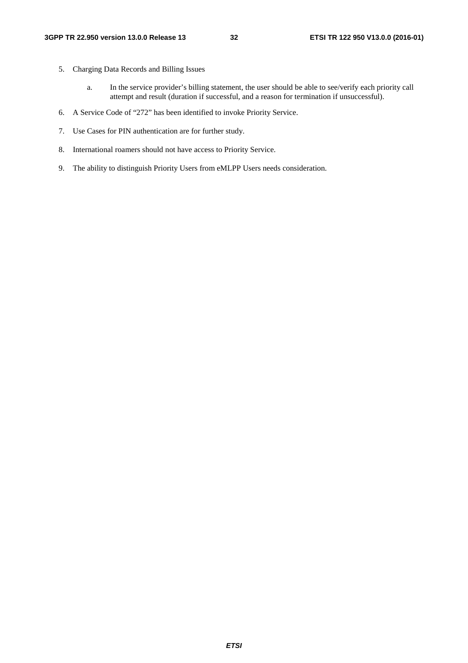- 5. Charging Data Records and Billing Issues
	- a. In the service provider's billing statement, the user should be able to see/verify each priority call attempt and result (duration if successful, and a reason for termination if unsuccessful).
- 6. A Service Code of "272" has been identified to invoke Priority Service.
- 7. Use Cases for PIN authentication are for further study.
- 8. International roamers should not have access to Priority Service.
- 9. The ability to distinguish Priority Users from eMLPP Users needs consideration.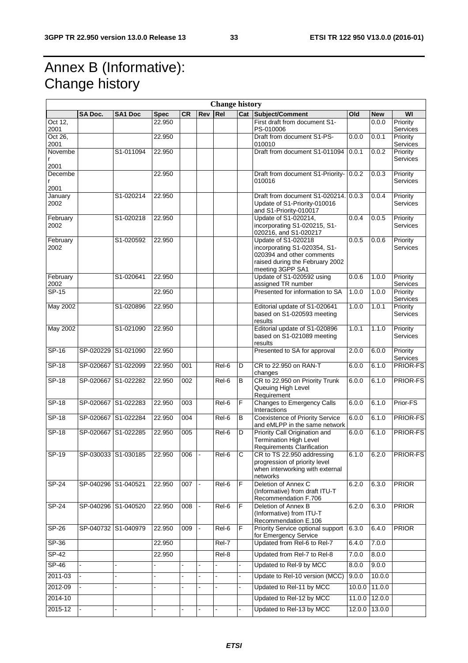## Annex B (Informative): Change history

|                             |                     |                     |                  |           |                | <b>Change history</b> |    |                                                                                                                                                |                |                    |                             |
|-----------------------------|---------------------|---------------------|------------------|-----------|----------------|-----------------------|----|------------------------------------------------------------------------------------------------------------------------------------------------|----------------|--------------------|-----------------------------|
|                             | <b>SA Doc.</b>      | <b>SA1 Doc</b>      | <b>Spec</b>      | <b>CR</b> | Rev Rel        |                       |    | <b>Cat Subject/Comment</b>                                                                                                                     | Old            | <b>New</b>         | WI                          |
| Oct 12,<br>2001             |                     |                     | 22.950           |           |                |                       |    | First draft from document S1-<br>PS-010006                                                                                                     |                | 0.0.0              | Priority<br>Services        |
| Oct 26,<br>2001             |                     |                     | 22.950           |           |                |                       |    | Draft from document S1-PS-<br>010010                                                                                                           | 0.0.0          | 0.0.1              | Priority<br>Services        |
| Novembe<br>r<br>2001        |                     | S1-011094           | 22.950           |           |                |                       |    | Draft from document S1-011094                                                                                                                  | 0.0.1          | 0.0.2              | Priority<br>Services        |
| Decembe<br>r<br>2001        |                     |                     | 22.950           |           |                |                       |    | Draft from document S1-Priority- 0.0.2<br>010016                                                                                               |                | 0.0.3              | Priority<br>Services        |
| January<br>2002             |                     | S1-020214           | 22.950           |           |                |                       |    | Draft from document S1-020214. 0.0.3<br>Update of S1-Priority-010016<br>and S1-Priority-010017                                                 |                | 0.0.4              | Priority<br>Services        |
| February<br>2002            |                     | S1-020218           | 22.950           |           |                |                       |    | Update of S1-020214,<br>incorporating S1-020215, S1-<br>020216, and S1-020217                                                                  | 0.0.4          | 0.0.5              | Priority<br><b>Services</b> |
| February<br>2002            |                     | S1-020592           | 22.950           |           |                |                       |    | <b>Update of S1-020218</b><br>incorporating S1-020354, S1-<br>020394 and other comments<br>raised during the February 2002<br>meeting 3GPP SA1 | 0.0.5          | 0.0.6              | Priority<br>Services        |
| February<br>2002<br>$SP-15$ |                     | S1-020641           | 22.950<br>22.950 |           |                |                       |    | Update of S1-020592 using<br>assigned TR number<br>Presented for information to SA                                                             | 0.0.6<br>1.0.0 | 1.0.0<br>1.0.0     | Priority<br>Services        |
|                             |                     |                     |                  |           |                |                       |    |                                                                                                                                                |                |                    | Priority<br>Services        |
| <b>May 2002</b>             |                     | S1-020896           | 22.950           |           |                |                       |    | Editorial update of S1-020641<br>based on S1-020593 meeting<br>results                                                                         | 1.0.0          | 1.0.1              | Priority<br>Services        |
| <b>May 2002</b>             |                     | S1-021090           | 22.950           |           |                |                       |    | Editorial update of S1-020896<br>based on S1-021089 meeting<br>results                                                                         | 1.0.1          | $\overline{1.1.0}$ | Priority<br>Services        |
| SP-16                       | SP-020229 S1-021090 |                     | 22.950           |           |                |                       |    | Presented to SA for approval                                                                                                                   | 2.0.0          | 6.0.0              | Priority<br>Services        |
| <b>SP-18</b>                | SP-020667 S1-022099 |                     | 22.950           | 001       |                | Rel-6                 | D  | CR to 22.950 on RAN-T<br>changes                                                                                                               | 6.0.0          | 6.1.0              | PRIOR-FS                    |
| $SP-18$                     | SP-020667 S1-022282 |                     | 22.950           | 002       |                | $\overline{Rel}$ -6   | В  | CR to 22.950 on Priority Trunk<br>Queuing High Level<br>Requirement                                                                            | 6.0.0          | 6.1.0              | <b>PRIOR-FS</b>             |
| SP-18                       | SP-020667 S1-022283 |                     | 22.950           | 003       |                | $\overline{Rel}$ -6   | F  | Changes to Emergency Calls<br>Interactions                                                                                                     | 6.0.0          | 6.1.0              | Prior-FS                    |
| <b>SP-18</b>                | SP-020667 S1-022284 |                     | 22.950           | 004       |                | Rel-6                 | B  | <b>Coexistence of Priority Service</b><br>and eMLPP in the same network                                                                        | 6.0.0          | 6.1.0              | PRIOR-FS                    |
| $SP-18$                     | SP-020667 S1-022285 |                     | 22.950           | 005       |                | $\overline{Rel}$ -6   | D  | Priority Call Origination and<br><b>Termination High Level</b><br>Requirements Clarification                                                   | 6.0.0          | 6.1.0              | <b>PRIOR-FS</b>             |
| SP-19                       | SP-030033 S1-030185 |                     | 22.950           | 006       |                | Rel-6                 | ◡  | CR to TS 22.950 addressing<br>progression of priority level<br>when interworking with external<br>networks                                     | $6.1.0$ 6.2.0  |                    | <b>PRIOR-FS</b>             |
| $SP-24$                     | SP-040296 S1-040521 |                     | 22.950           | 007       |                | Rel-6                 | F  | Deletion of Annex C<br>(Informative) from draft ITU-T<br>Recommendation F.706                                                                  | 6.2.0          | 6.3.0              | <b>PRIOR</b>                |
| $SP-24$                     |                     | SP-040296 S1-040520 | 22.950           | 008       |                | $Rel-6$               | F  | Deletion of Annex B<br>(Informative) from ITU-T<br>Recommendation E.106                                                                        | 6.2.0          | 6.3.0              | <b>PRIOR</b>                |
| $SP-26$                     | SP-040732 S1-040979 |                     | 22.950           | 009       | $\blacksquare$ | Rel-6                 | F  | Priority Service optional support<br>for Emergency Service                                                                                     | 6.3.0          | 6.4.0              | <b>PRIOR</b>                |
| $SP-36$                     |                     |                     | 22.950           |           |                | $ReI-7$               |    | Updated from Rel-6 to Rel-7                                                                                                                    | 6.4.0          | 7.0.0              |                             |
| $SP-42$                     |                     |                     | 22.950           |           |                | Rel-8                 |    | Updated from Rel-7 to Rel-8                                                                                                                    | 7.0.0          | 8.0.0              |                             |
| $SP-46$                     |                     |                     |                  |           |                |                       |    | Updated to Rel-9 by MCC                                                                                                                        | 8.0.0          | 9.0.0              |                             |
| 2011-03                     |                     |                     |                  |           |                |                       |    | Update to Rel-10 version (MCC)                                                                                                                 | 9.0.0          | 10.0.0             |                             |
| 2012-09                     |                     | L.                  |                  |           | $\overline{a}$ | $\blacksquare$        | ÷. | Updated to Rel-11 by MCC                                                                                                                       | 10.0.0         | 11.0.0             |                             |
| 2014-10                     |                     |                     |                  |           |                |                       |    | Updated to Rel-12 by MCC                                                                                                                       | 11.0.0         | 12.0.0             |                             |
| 2015-12                     |                     |                     |                  |           |                |                       |    | Updated to Rel-13 by MCC                                                                                                                       | 12.0.0         | 13.0.0             |                             |